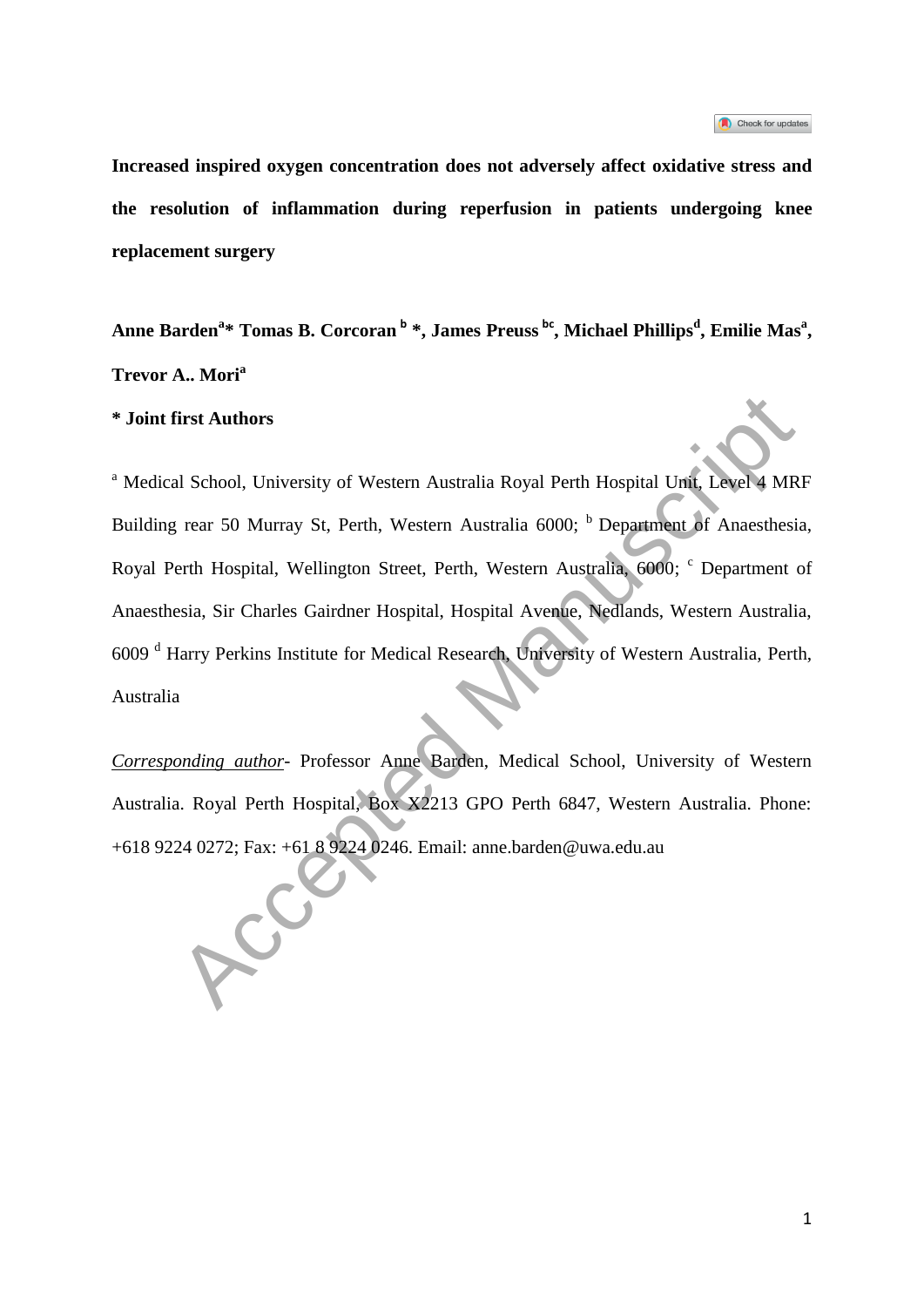**Increased inspired oxygen concentration does not adversely affect oxidative stress and the resolution of inflammation during reperfusion in patients undergoing knee replacement surgery**

**Anne Barden<sup>a</sup> \* Tomas B. Corcoran <sup>b</sup> \*, James Preuss bc , Michael Phillips<sup>d</sup> , Emilie Mas<sup>a</sup> , Trevor A.. Mori<sup>a</sup>**

**\* Joint first Authors**

<sup>a</sup> Medical School, University of Western Australia Royal Perth Hospital Unit, Level 4 MRF Building rear 50 Murray St, Perth, Western Australia 6000; <sup>b</sup> Department of Anaesthesia, Royal Perth Hospital, Wellington Street, Perth, Western Australia, 6000; C Department of Anaesthesia, Sir Charles Gairdner Hospital, Hospital Avenue, Nedlands, Western Australia, 6009 <sup>d</sup> Harry Perkins Institute for Medical Research, University of Western Australia, Perth, Australia \* Joint first Authors<br>
\* Medical School, University of Western Australia Royal Perth Hospital Unit, Level & ME<br>
Building rear 50 Murray St, Perth, Western Australia 6000; \* Department of Anaesthes<br>
Royal Perth Hospital, We

*Corresponding author*- Professor Anne Barden, Medical School, University of Western Australia. Royal Perth Hospital, Box X2213 GPO Perth 6847, Western Australia. Phone: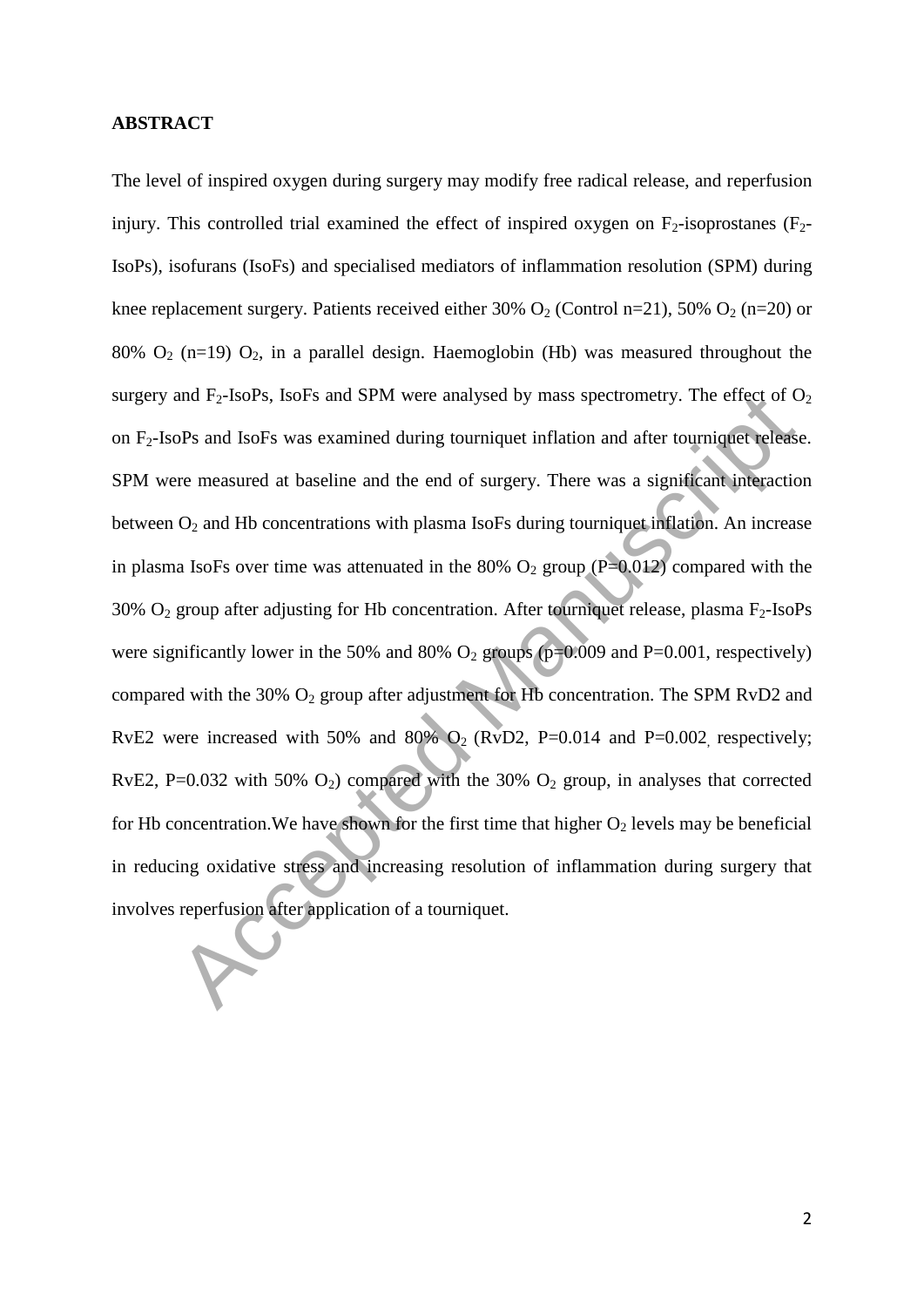#### **ABSTRACT**

The level of inspired oxygen during surgery may modify free radical release, and reperfusion injury. This controlled trial examined the effect of inspired oxygen on  $F_2$ -isoprostanes ( $F_2$ -IsoPs), isofurans (IsoFs) and specialised mediators of inflammation resolution (SPM) during knee replacement surgery. Patients received either 30%  $O_2$  (Control n=21), 50%  $O_2$  (n=20) or 80%  $O_2$  (n=19)  $O_2$ , in a parallel design. Haemoglobin (Hb) was measured throughout the surgery and  $F_2$ -IsoPs, IsoFs and SPM were analysed by mass spectrometry. The effect of  $O_2$ on F2-IsoPs and IsoFs was examined during tourniquet inflation and after tourniquet release. SPM were measured at baseline and the end of surgery. There was a significant interaction between O<sub>2</sub> and Hb concentrations with plasma IsoFs during tourniquet inflation. An increase in plasma IsoFs over time was attenuated in the 80%  $O_2$  group (P=0.012) compared with the 30%  $O_2$  group after adjusting for Hb concentration. After tourniquet release, plasma  $F_2$ -IsoPs were significantly lower in the 50% and 80%  $O_2$  groups (p=0.009 and P=0.001, respectively) compared with the 30%  $O_2$  group after adjustment for Hb concentration. The SPM RvD2 and RvE2 were increased with 50% and 80%  $O_2$  (RvD2, P=0.014 and P=0.002, respectively; RvE2, P=0.032 with 50%  $O_2$ ) compared with the 30%  $O_2$  group, in analyses that corrected for Hb concentration. We have shown for the first time that higher  $O_2$  levels may be beneficial in reducing oxidative stress and increasing resolution of inflammation during surgery that surgery and F<sub>2</sub>-Isors, Isors and SPM were analysed by mass spectrometry. The effect of ton F<sub>2</sub>-IsoPs and IsoFs was examined during lourniquet inflation and after tourniquet inflation. SPM were measured at baseline and t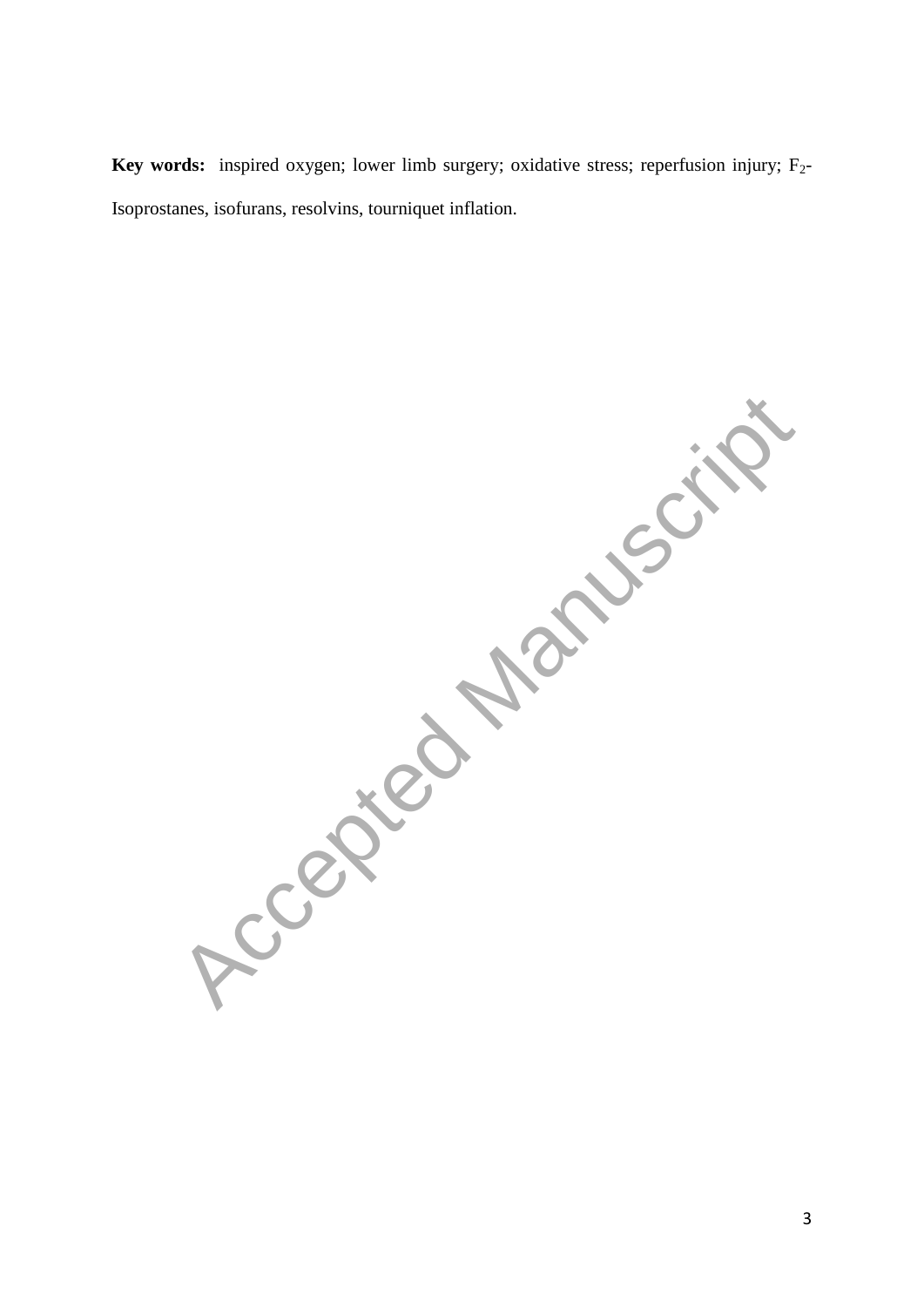**Key words:** inspired oxygen; lower limb surgery; oxidative stress; reperfusion injury;  $F_2$ -Isoprostanes, isofurans, resolvins, tourniquet inflation.

Accepted Manuscrit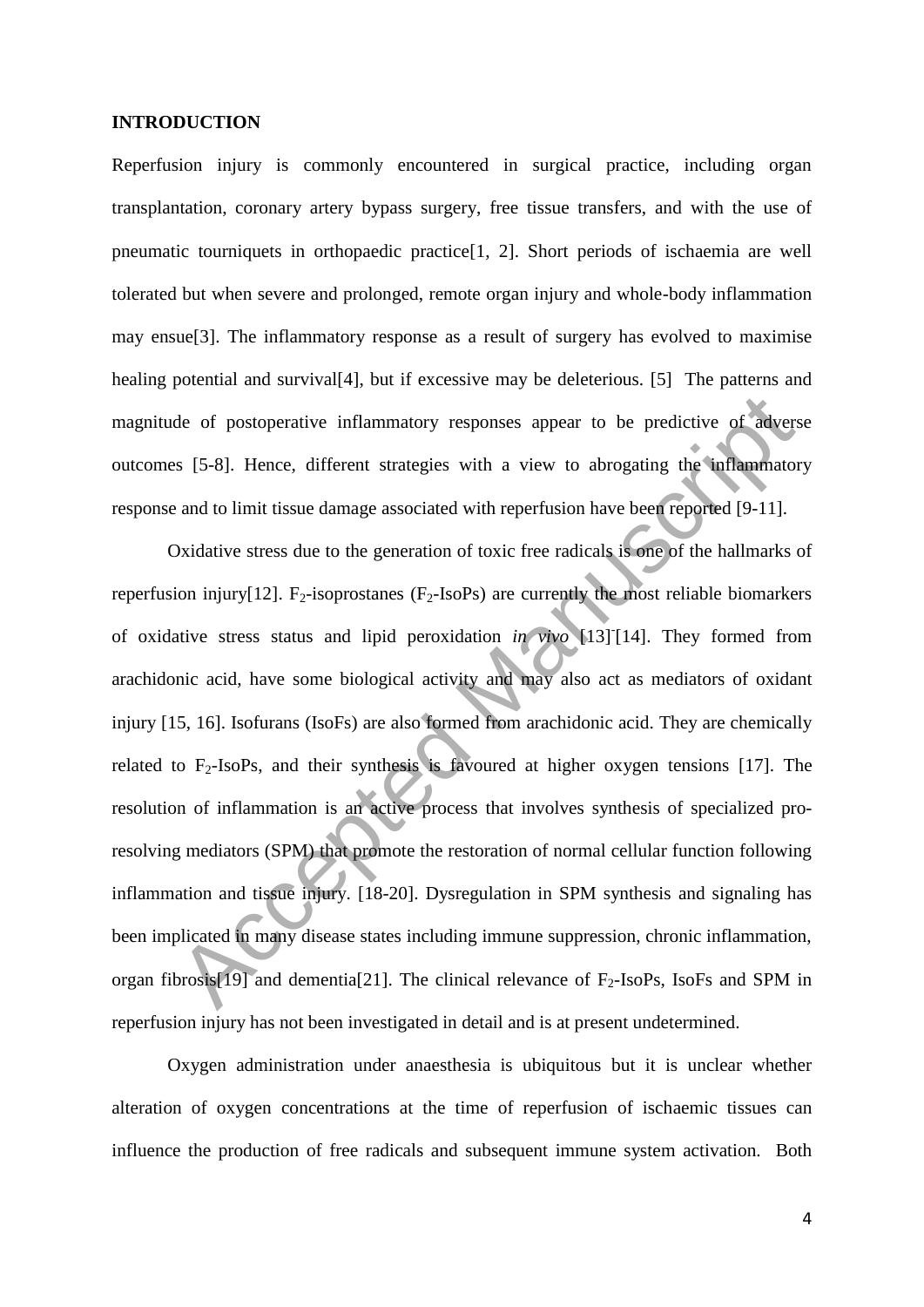#### **INTRODUCTION**

Reperfusion injury is commonly encountered in surgical practice, including organ transplantation, coronary artery bypass surgery, free tissue transfers, and with the use of pneumatic tourniquets in orthopaedic practice[1, 2]. Short periods of ischaemia are well tolerated but when severe and prolonged, remote organ injury and whole-body inflammation may ensue[3]. The inflammatory response as a result of surgery has evolved to maximise healing potential and survival [4], but if excessive may be deleterious. [5] The patterns and magnitude of postoperative inflammatory responses appear to be predictive of adverse outcomes [5-8]. Hence, different strategies with a view to abrogating the inflammatory response and to limit tissue damage associated with reperfusion have been reported [9-11].

Oxidative stress due to the generation of toxic free radicals is one of the hallmarks of reperfusion injury[12]. F<sub>2</sub>-isoprostanes (F<sub>2</sub>-IsoPs) are currently the most reliable biomarkers of oxidative stress status and lipid peroxidation *in vivo* [13]<sup>[14]</sup>. They formed from arachidonic acid, have some biological activity and may also act as mediators of oxidant injury [15, 16]. Isofurans (IsoFs) are also formed from arachidonic acid. They are chemically related to  $F_2$ -IsoPs, and their synthesis is favoured at higher oxygen tensions [17]. The resolution of inflammation is an active process that involves synthesis of specialized proresolving mediators (SPM) that promote the restoration of normal cellular function following inflammation and tissue injury. [18-20]. Dysregulation in SPM synthesis and signaling has been implicated in many disease states including immune suppression, chronic inflammation, organ fibrosis[19] and dementia<sup>[21]</sup>. The clinical relevance of  $F_2$ -IsoPs, IsoFs and SPM in reperfusion injury has not been investigated in detail and is at present undetermined. de of postoperative inflammatory responses appear to be predictive of advers [5-8]. Hence, different strategies with a view to abrogating the inflammato and to limit tissue damage associated with reperfusion have been rep

Oxygen administration under anaesthesia is ubiquitous but it is unclear whether alteration of oxygen concentrations at the time of reperfusion of ischaemic tissues can influence the production of free radicals and subsequent immune system activation. Both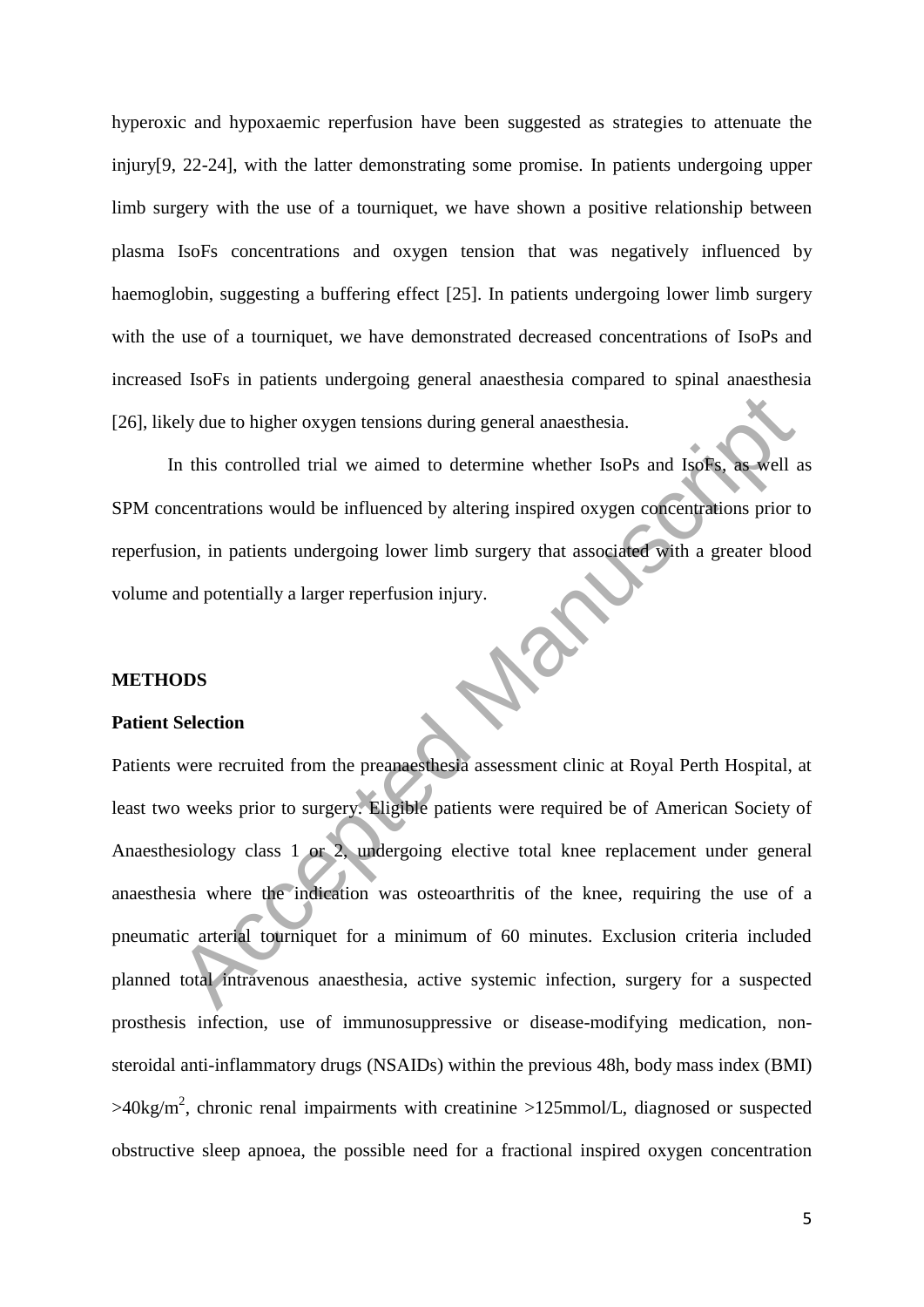hyperoxic and hypoxaemic reperfusion have been suggested as strategies to attenuate the injury[9, 22-24], with the latter demonstrating some promise. In patients undergoing upper limb surgery with the use of a tourniquet, we have shown a positive relationship between plasma IsoFs concentrations and oxygen tension that was negatively influenced by haemoglobin, suggesting a buffering effect [25]. In patients undergoing lower limb surgery with the use of a tourniquet, we have demonstrated decreased concentrations of IsoPs and increased IsoFs in patients undergoing general anaesthesia compared to spinal anaesthesia [26], likely due to higher oxygen tensions during general anaesthesia.

In this controlled trial we aimed to determine whether IsoPs and IsoFs, as well as SPM concentrations would be influenced by altering inspired oxygen concentrations prior to reperfusion, in patients undergoing lower limb surgery that associated with a greater blood volume and potentially a larger reperfusion injury.

#### **METHODS**

### **Patient Selection**

Patients were recruited from the preanaesthesia assessment clinic at Royal Perth Hospital, at least two weeks prior to surgery. Eligible patients were required be of American Society of Anaesthesiology class 1 or 2, undergoing elective total knee replacement under general anaesthesia where the indication was osteoarthritis of the knee, requiring the use of a pneumatic arterial tourniquet for a minimum of 60 minutes. Exclusion criteria included planned total intravenous anaesthesia, active systemic infection, surgery for a suspected prosthesis infection, use of immunosuppressive or disease-modifying medication, nonsteroidal anti-inflammatory drugs (NSAIDs) within the previous 48h, body mass index (BMI)  $>40$ kg/m<sup>2</sup>, chronic renal impairments with creatinine  $>125$ mmol/L, diagnosed or suspected obstructive sleep apnoea, the possible need for a fractional inspired oxygen concentration Example I also to higher oxygen tensions during general anaesthesia.<br>
This controlled trial we aimed to determine whether IsoPs and IsoPs, as well<br>
incentrations would be influenced by altering inspired oxygen concentratio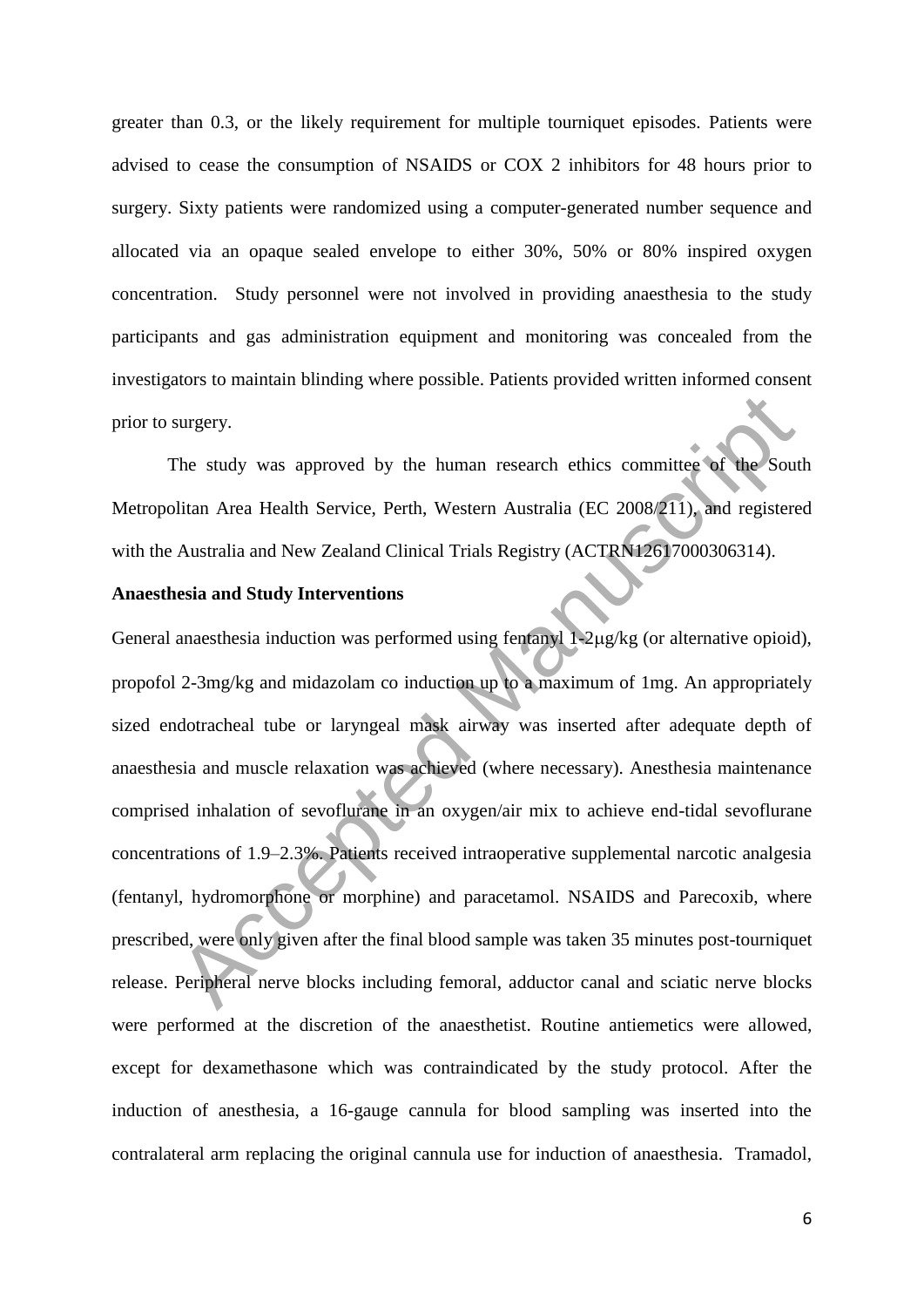greater than 0.3, or the likely requirement for multiple tourniquet episodes. Patients were advised to cease the consumption of NSAIDS or COX 2 inhibitors for 48 hours prior to surgery. Sixty patients were randomized using a computer-generated number sequence and allocated via an opaque sealed envelope to either 30%, 50% or 80% inspired oxygen concentration. Study personnel were not involved in providing anaesthesia to the study participants and gas administration equipment and monitoring was concealed from the investigators to maintain blinding where possible. Patients provided written informed consent prior to surgery.

The study was approved by the human research ethics committee of the South Metropolitan Area Health Service, Perth, Western Australia (EC 2008/211), and registered with the Australia and New Zealand Clinical Trials Registry (ACTRN12617000306314).

## **Anaesthesia and Study Interventions**

General anaesthesia induction was performed using fentanyl 1-2µg/kg (or alternative opioid), propofol 2-3mg/kg and midazolam co induction up to a maximum of 1mg. An appropriately sized endotracheal tube or laryngeal mask airway was inserted after adequate depth of anaesthesia and muscle relaxation was achieved (where necessary). Anesthesia maintenance comprised inhalation of sevoflurane in an oxygen/air mix to achieve end-tidal sevoflurane concentrations of 1.9–2.3%. Patients received intraoperative supplemental narcotic analgesia (fentanyl, hydromorphone or morphine) and paracetamol. NSAIDS and Parecoxib, where prescribed, were only given after the final blood sample was taken 35 minutes post-tourniquet release. Peripheral nerve blocks including femoral, adductor canal and sciatic nerve blocks were performed at the discretion of the anaesthetist. Routine antiemetics were allowed, except for dexamethasone which was contraindicated by the study protocol. After the induction of anesthesia, a 16-gauge cannula for blood sampling was inserted into the contralateral arm replacing the original cannula use for induction of anaesthesia. Tramadol, surgery.<br>
The study was approved by the human research ethics committee of the Sou<br>
bilitan Area Health Service, Perth, Western Australia (EC 2008/211), and register<br>
Australia and New Zealand Clinical Trials Registry (ACT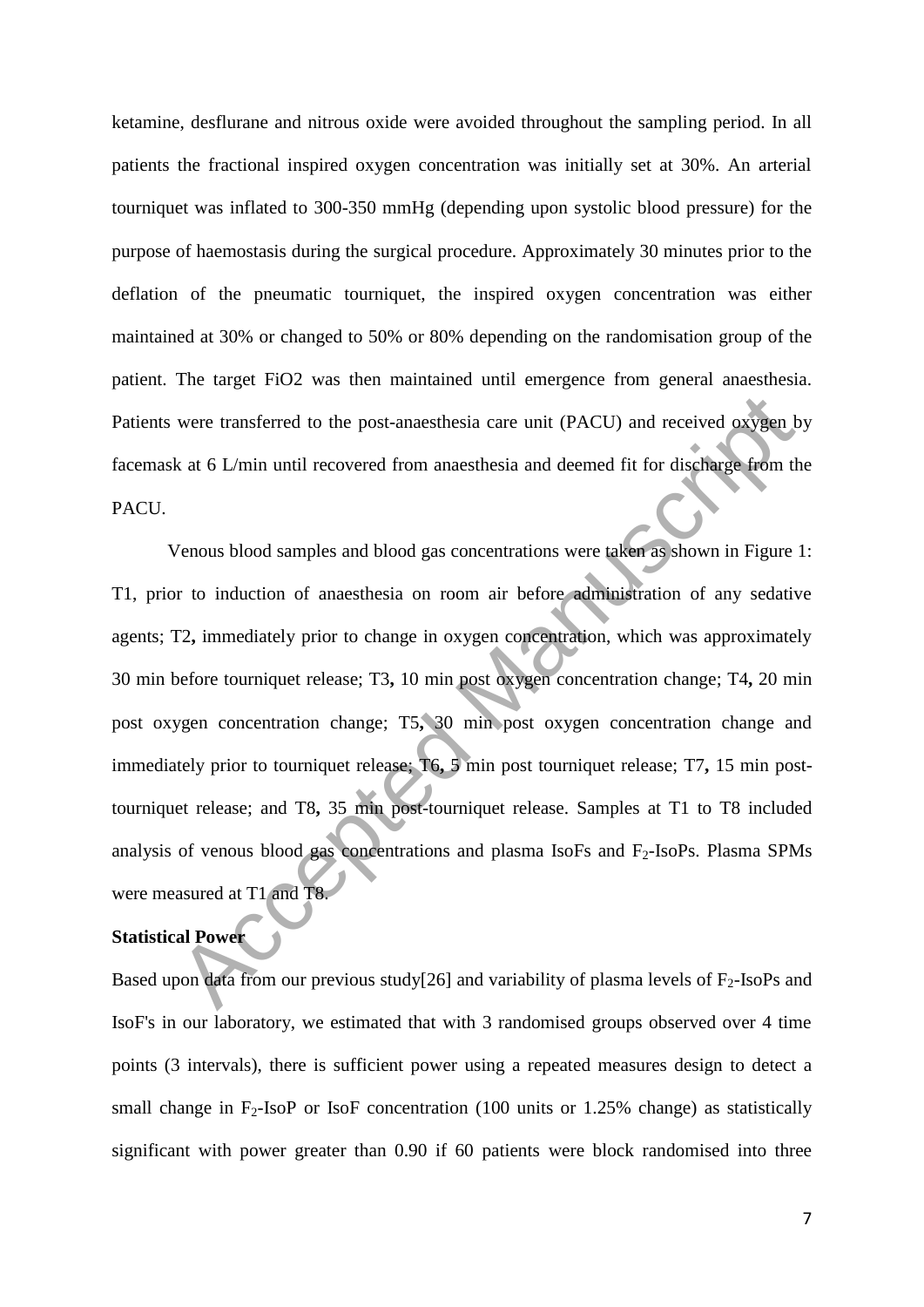ketamine, desflurane and nitrous oxide were avoided throughout the sampling period. In all patients the fractional inspired oxygen concentration was initially set at 30%. An arterial tourniquet was inflated to 300-350 mmHg (depending upon systolic blood pressure) for the purpose of haemostasis during the surgical procedure. Approximately 30 minutes prior to the deflation of the pneumatic tourniquet, the inspired oxygen concentration was either maintained at 30% or changed to 50% or 80% depending on the randomisation group of the patient. The target FiO2 was then maintained until emergence from general anaesthesia. Patients were transferred to the post-anaesthesia care unit (PACU) and received oxygen by facemask at 6 L/min until recovered from anaesthesia and deemed fit for discharge from the PACU.

Venous blood samples and blood gas concentrations were taken as shown in Figure 1: T1, prior to induction of anaesthesia on room air before administration of any sedative agents; T2**,** immediately prior to change in oxygen concentration, which was approximately 30 min before tourniquet release; T3**,** 10 min post oxygen concentration change; T4**,** 20 min post oxygen concentration change; T5**,** 30 min post oxygen concentration change and immediately prior to tourniquet release; T6**,** 5 min post tourniquet release; T7**,** 15 min posttourniquet release; and T8**,** 35 min post-tourniquet release. Samples at T1 to T8 included analysis of venous blood gas concentrations and plasma IsoFs and  $F_2$ -IsoPs. Plasma SPMs were measured at T1 and T8. were transferred to the post-anaesthesia care unit (PACU) and received oxygen<br>
k at 6 L/min until recovered from anaesthesia and deemed fit for discharge from t<br>
venous blood samples and blood gas concentrations were take

# **Statistical Power**

Based upon data from our previous study[26] and variability of plasma levels of  $F_2$ -IsoPs and IsoF's in our laboratory, we estimated that with 3 randomised groups observed over 4 time points (3 intervals), there is sufficient power using a repeated measures design to detect a small change in  $F_2$ -IsoP or IsoF concentration (100 units or 1.25% change) as statistically significant with power greater than 0.90 if 60 patients were block randomised into three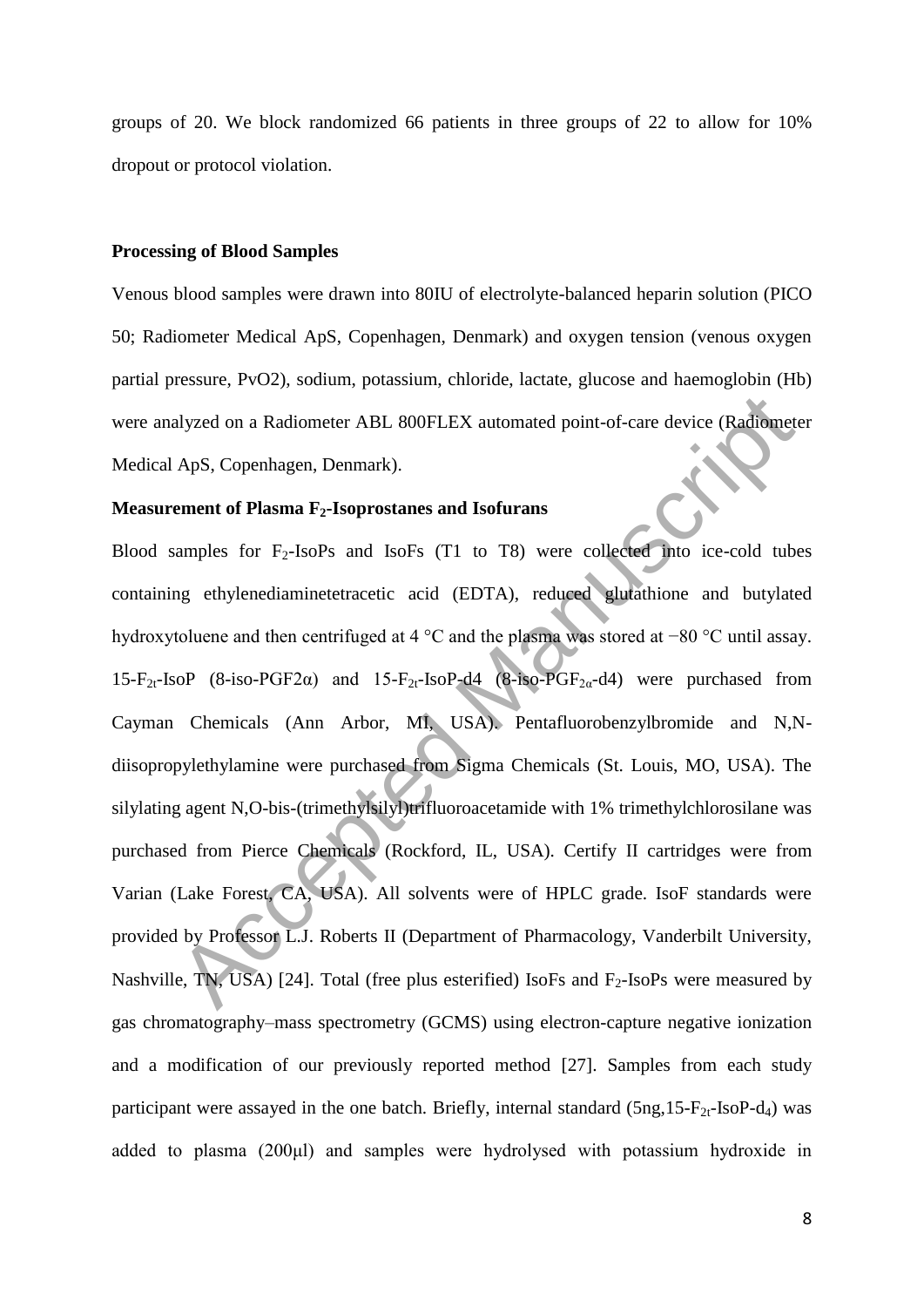groups of 20. We block randomized 66 patients in three groups of 22 to allow for 10% dropout or protocol violation.

#### **Processing of Blood Samples**

Venous blood samples were drawn into 80IU of electrolyte-balanced heparin solution (PICO 50; Radiometer Medical ApS, Copenhagen, Denmark) and oxygen tension (venous oxygen partial pressure, PvO2), sodium, potassium, chloride, lactate, glucose and haemoglobin (Hb) were analyzed on a Radiometer ABL 800FLEX automated point-of-care device (Radiometer Medical ApS, Copenhagen, Denmark).

# **Measurement of Plasma F2-Isoprostanes and Isofurans**

Blood samples for  $F_2$ -IsoPs and IsoFs (T1 to T8) were collected into ice-cold tubes containing ethylenediaminetetracetic acid (EDTA), reduced glutathione and butylated hydroxytoluene and then centrifuged at 4 °C and the plasma was stored at −80 °C until assay. 15-F<sub>2t</sub>-IsoP (8-iso-PGF2 $\alpha$ ) and 15-F<sub>2t</sub>-IsoP-d4 (8-iso-PGF<sub>2 $\alpha$ </sub>-d4) were purchased from Cayman Chemicals (Ann Arbor, MI, USA). Pentafluorobenzylbromide and N,Ndiisopropylethylamine were purchased from Sigma Chemicals (St. Louis, MO, USA). The silylating agent N,O-bis-(trimethylsilyl)trifluoroacetamide with 1% trimethylchlorosilane was purchased from Pierce Chemicals (Rockford, IL, USA). Certify II cartridges were from Varian (Lake Forest, CA, USA). All solvents were of HPLC grade. IsoF standards were provided by Professor L.J. Roberts II (Department of Pharmacology, Vanderbilt University, Nashville, TN, USA) [24]. Total (free plus esterified) IsoFs and  $F_2$ -IsoPs were measured by gas chromatography–mass spectrometry (GCMS) using electron-capture negative ionization and a modification of our previously reported method [27]. Samples from each study participant were assayed in the one batch. Briefly, internal standard  $(5ng, 15-F_{2t}S_0P-d_4)$  was added to plasma (200μl) and samples were hydrolysed with potassium hydroxide in alyzed on a Radiometer ABL 800FLEX automated point-of-care device (Radiomet ApS, Copenhagen, Denmark).<br> **Exercepted Manuscript Contains and Isofurans**<br> **Exercepted Manuscript Contains and Isofurans**<br> **Exercepted Manuscrip**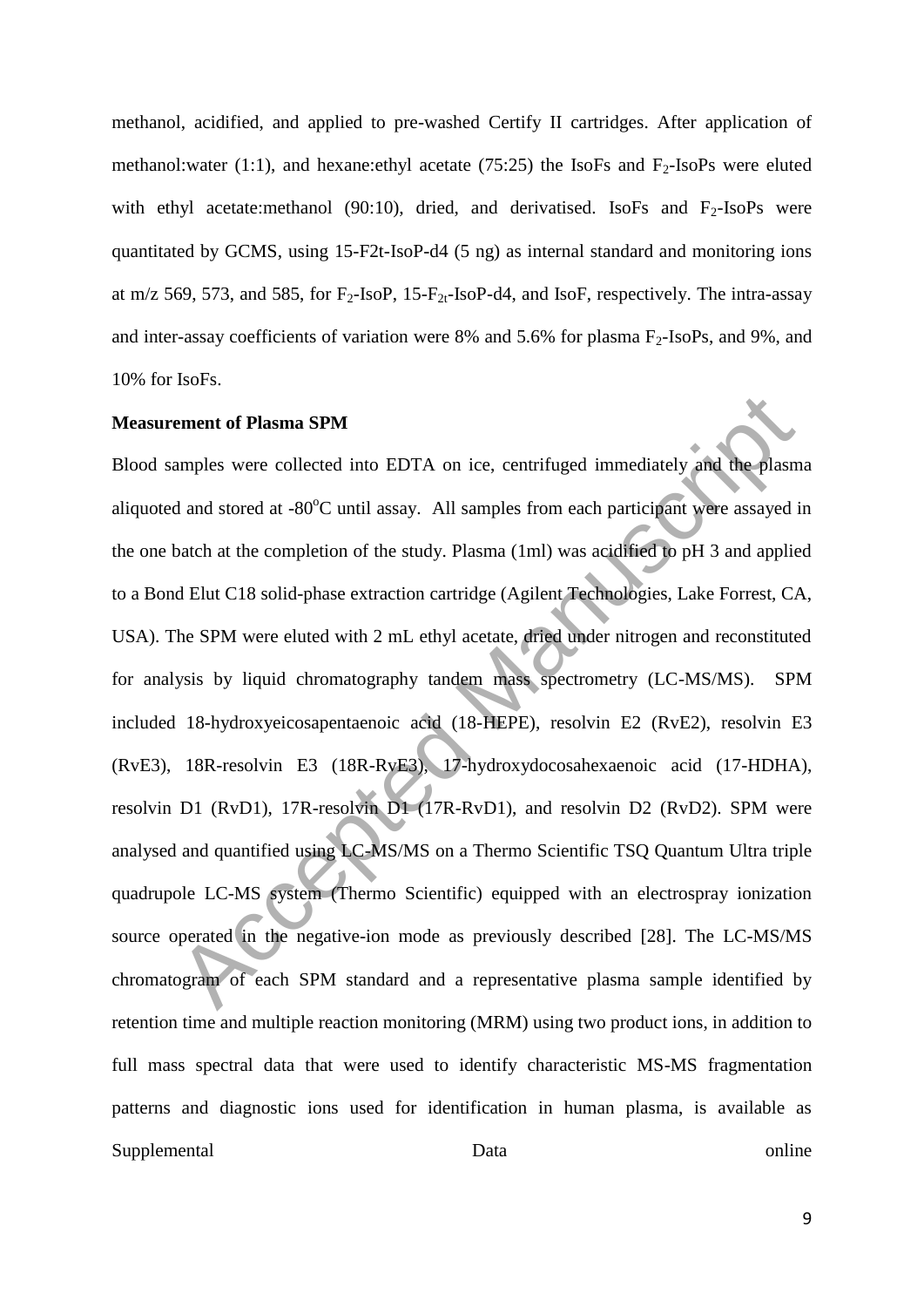methanol, acidified, and applied to pre-washed Certify II cartridges. After application of methanol:water (1:1), and hexane:ethyl acetate (75:25) the IsoFs and  $F_2$ -IsoPs were eluted with ethyl acetate:methanol (90:10), dried, and derivatised. IsoFs and  $F_2$ -IsoPs were quantitated by GCMS, using 15-F2t-IsoP-d4 (5 ng) as internal standard and monitoring ions at m/z 569, 573, and 585, for  $F_2$ -IsoP, 15- $F_{2t}$ -IsoP-d4, and IsoF, respectively. The intra-assay and inter-assay coefficients of variation were 8% and 5.6% for plasma  $F_2$ -IsoPs, and 9%, and 10% for IsoFs.

#### **Measurement of Plasma SPM**

Blood samples were collected into EDTA on ice, centrifuged immediately and the plasma aliquoted and stored at  $-80^{\circ}$ C until assay. All samples from each participant were assayed in the one batch at the completion of the study. Plasma (1ml) was acidified to pH 3 and applied to a Bond Elut C18 solid-phase extraction cartridge (Agilent Technologies, Lake Forrest, CA, USA). The SPM were eluted with 2 mL ethyl acetate, dried under nitrogen and reconstituted for analysis by liquid chromatography tandem mass spectrometry (LC-MS/MS). SPM included 18-hydroxyeicosapentaenoic acid (18-HEPE), resolvin E2 (RvE2), resolvin E3 (RvE3), 18R-resolvin E3 (18R-RvE3), 17-hydroxydocosahexaenoic acid (17-HDHA), resolvin D1 (RvD1), 17R-resolvin D1 (17R-RvD1), and resolvin D2 (RvD2). SPM were analysed and quantified using LC-MS/MS on a Thermo Scientific TSQ Quantum Ultra triple quadrupole LC-MS system (Thermo Scientific) equipped with an electrospray ionization source operated in the negative-ion mode as previously described [28]. The LC-MS/MS chromatogram of each SPM standard and a representative plasma sample identified by retention time and multiple reaction monitoring (MRM) using two product ions, in addition to full mass spectral data that were used to identify characteristic MS-MS fragmentation patterns and diagnostic ions used for identification in human plasma, is available as Supplemental Data Data online ement of Plasma SPM<br>
amples were collected into EDTA on ice, centrifuged immediately and the plasm<br>
d and stored at -80°C until assay. All samples from each participant were assayed<br>
batch at the completion of the study. P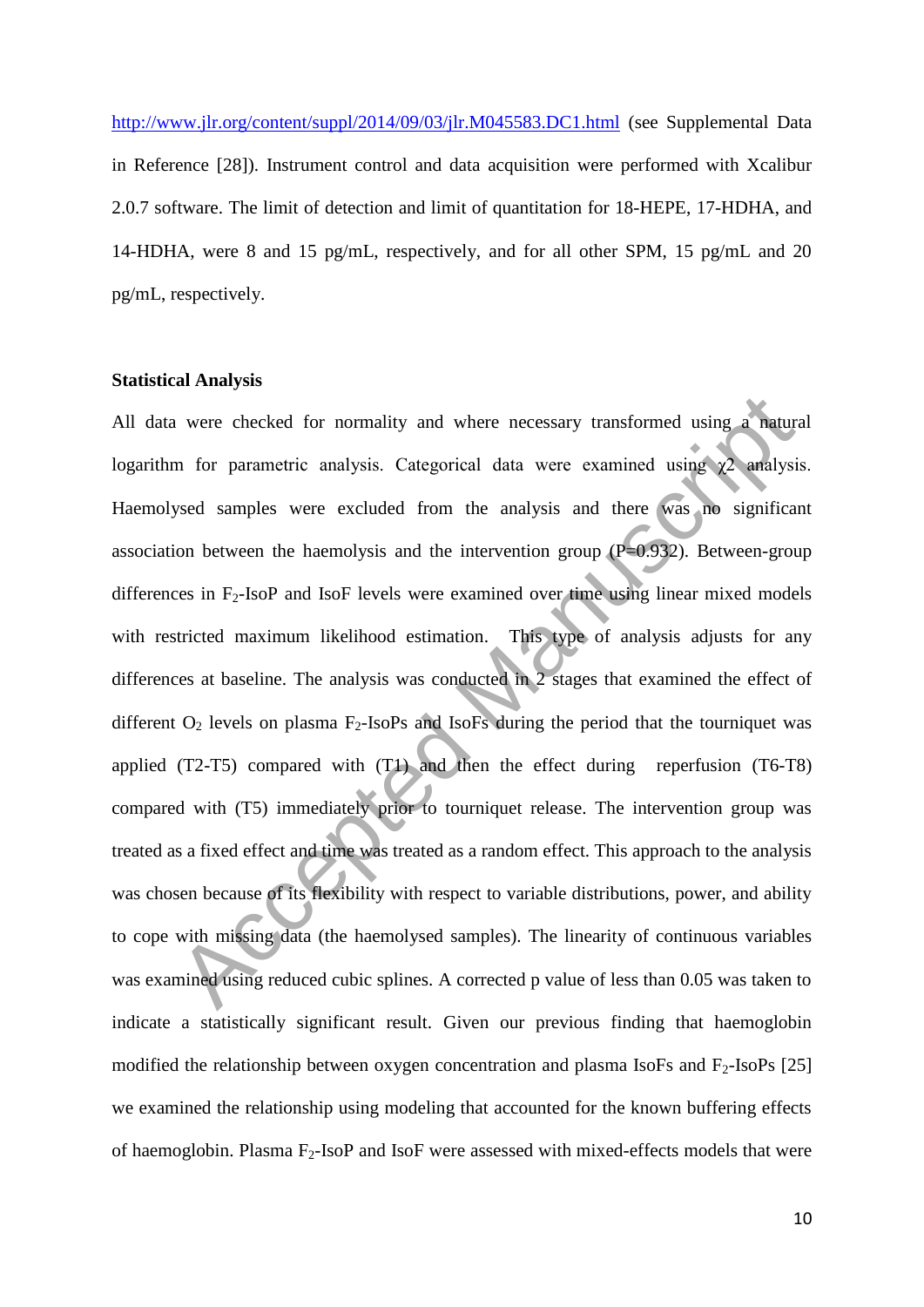http://www.jlr.org/content/suppl/2014/09/03/jlr.M045583.DC1.html (see Supplemental Data in Reference [28]). Instrument control and data acquisition were performed with Xcalibur 2.0.7 software. The limit of detection and limit of quantitation for 18-HEPE, 17-HDHA, and 14-HDHA, were 8 and 15 pg/mL, respectively, and for all other SPM, 15 pg/mL and 20 pg/mL, respectively.

## **Statistical Analysis**

All data were checked for normality and where necessary transformed using a natural logarithm for parametric analysis. Categorical data were examined using χ2 analysis. Haemolysed samples were excluded from the analysis and there was no significant association between the haemolysis and the intervention group  $(P=0.932)$ . Between-group differences in  $F_2$ -IsoP and IsoF levels were examined over time using linear mixed models with restricted maximum likelihood estimation. This type of analysis adjusts for any differences at baseline. The analysis was conducted in 2 stages that examined the effect of different  $O_2$  levels on plasma  $F_2$ -IsoPs and IsoFs during the period that the tourniquet was applied (T2-T5) compared with (T1) and then the effect during reperfusion (T6-T8) compared with (T5) immediately prior to tourniquet release. The intervention group was treated as a fixed effect and time was treated as a random effect. This approach to the analysis was chosen because of its flexibility with respect to variable distributions, power, and ability to cope with missing data (the haemolysed samples). The linearity of continuous variables was examined using reduced cubic splines. A corrected p value of less than 0.05 was taken to indicate a statistically significant result. Given our previous finding that haemoglobin modified the relationship between oxygen concentration and plasma IsoFs and  $F_2$ -IsoPs [25] we examined the relationship using modeling that accounted for the known buffering effects of haemoglobin. Plasma F2-IsoP and IsoF were assessed with mixed-effects models that were a were checked for normality and where necessary transformed using a natural for parametric analysis. Categorical data were examined using  $\chi$  analyst systed samples were excluded from the analysis and there was no signi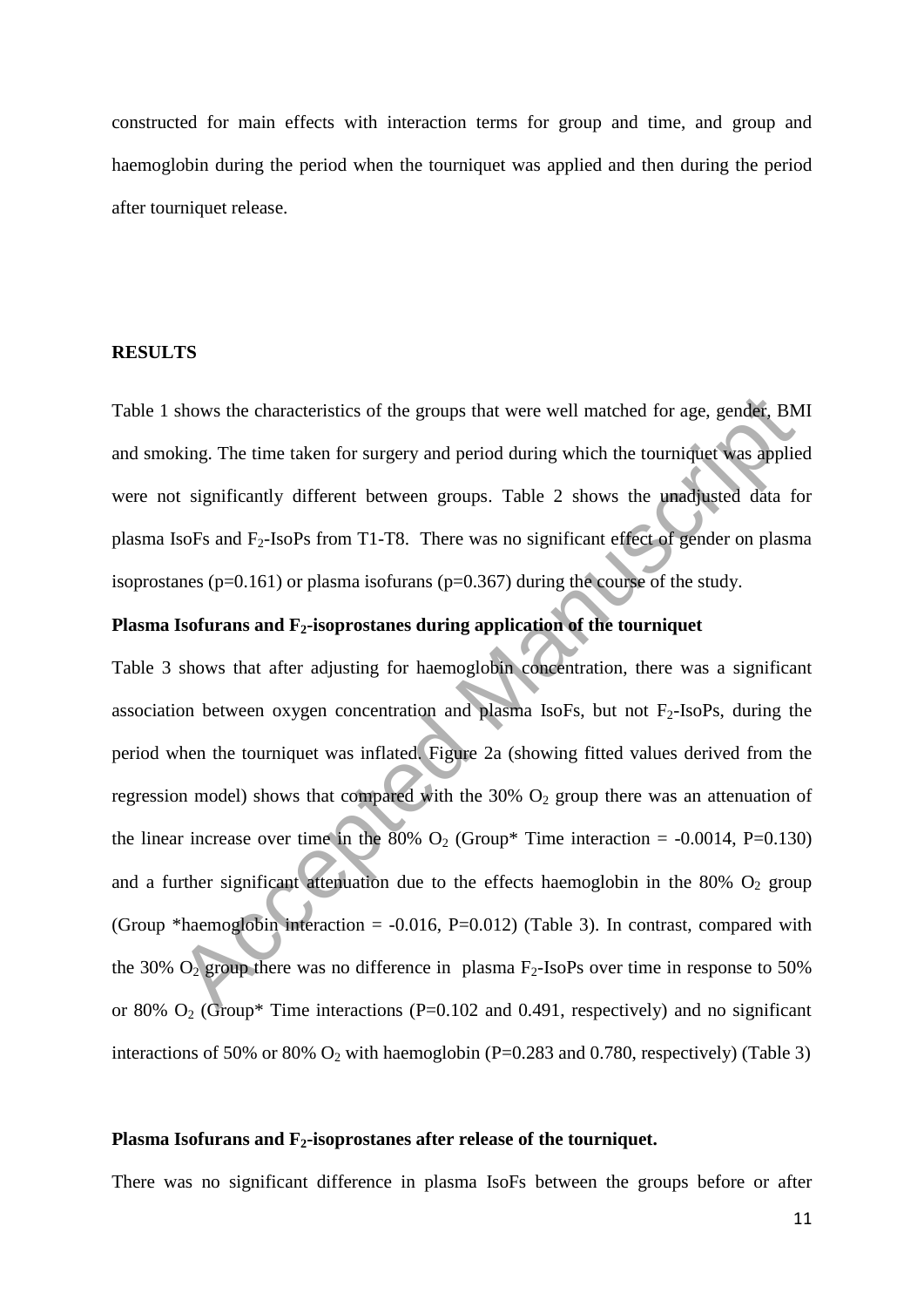constructed for main effects with interaction terms for group and time, and group and haemoglobin during the period when the tourniquet was applied and then during the period after tourniquet release.

# **RESULTS**

Table 1 shows the characteristics of the groups that were well matched for age, gender, BMI and smoking. The time taken for surgery and period during which the tourniquet was applied were not significantly different between groups. Table 2 shows the unadjusted data for plasma IsoFs and F2-IsoPs from T1-T8. There was no significant effect of gender on plasma isoprostanes ( $p=0.161$ ) or plasma isofurans ( $p=0.367$ ) during the course of the study.

# **Plasma Isofurans and F2-isoprostanes during application of the tourniquet**

Table 3 shows that after adjusting for haemoglobin concentration, there was a significant association between oxygen concentration and plasma IsoFs, but not  $F_2$ -IsoPs, during the period when the tourniquet was inflated. Figure 2a (showing fitted values derived from the regression model) shows that compared with the 30%  $O_2$  group there was an attenuation of the linear increase over time in the 80%  $O_2$  (Group\* Time interaction = -0.0014, P=0.130) and a further significant attenuation due to the effects haemoglobin in the 80%  $O_2$  group (Group \*haemoglobin interaction =  $-0.016$ , P=0.012) (Table 3). In contrast, compared with the 30%  $O_2$  group there was no difference in plasma  $F_2$ -IsoPs over time in response to 50% or 80%  $O_2$  (Group\* Time interactions (P=0.102 and 0.491, respectively) and no significant interactions of 50% or 80%  $O_2$  with haemoglobin (P=0.283 and 0.780, respectively) (Table 3) shows the characteristics of the groups that were well matched for age, gender, B<br>king. The time taken for surgery and period during which the tourniqued was appli<br>k significantly different between groups. Table 2 shows t

## **Plasma Isofurans and F2-isoprostanes after release of the tourniquet.**

There was no significant difference in plasma IsoFs between the groups before or after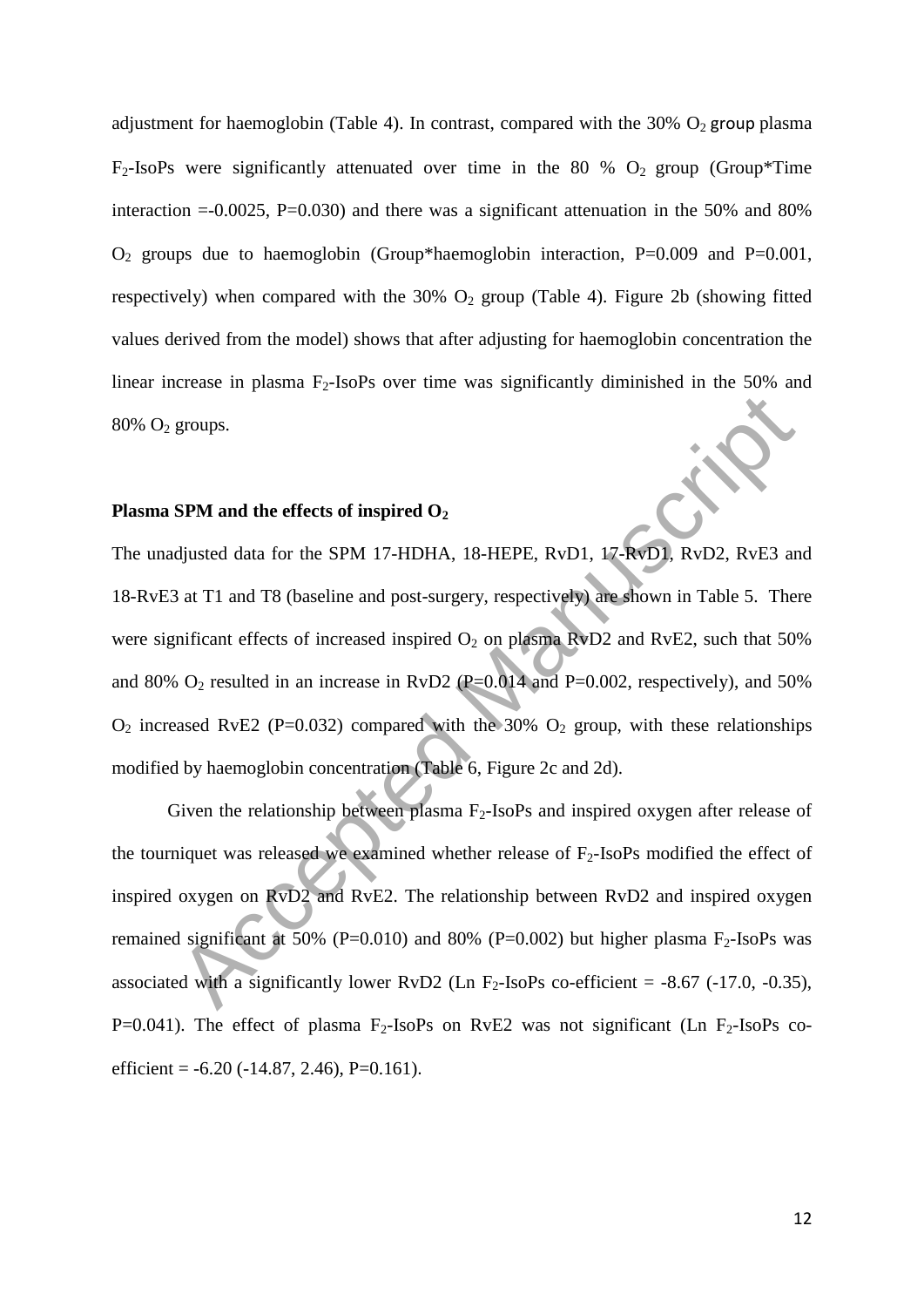adjustment for haemoglobin (Table 4). In contrast, compared with the 30%  $O_2$  group plasma  $F_2$ -IsoPs were significantly attenuated over time in the 80 %  $O_2$  group (Group\*Time interaction  $=$ -0.0025, P=0.030) and there was a significant attenuation in the 50% and 80%  $O<sub>2</sub>$  groups due to haemoglobin (Group\*haemoglobin interaction, P=0.009 and P=0.001, respectively) when compared with the  $30\%$  O<sub>2</sub> group (Table 4). Figure 2b (showing fitted values derived from the model) shows that after adjusting for haemoglobin concentration the linear increase in plasma  $F_2$ -IsoPs over time was significantly diminished in the 50% and  $80\%$  O<sub>2</sub> groups.

#### **Plasma SPM and the effects of inspired O<sup>2</sup>**

The unadjusted data for the SPM 17-HDHA, 18-HEPE, RvD1, 17-RvD1, RvD2, RvE3 and 18-RvE3 at T1 and T8 (baseline and post-surgery, respectively) are shown in Table 5. There were significant effects of increased inspired  $O_2$  on plasma RvD2 and RvE2, such that 50% and 80%  $O_2$  resulted in an increase in RvD2 (P=0.014 and P=0.002, respectively), and 50%  $O_2$  increased RvE2 (P=0.032) compared with the 30%  $O_2$  group, with these relationships modified by haemoglobin concentration (Table 6, Figure 2c and 2d). SPM and the effects of inspired  $O_2$ <br>djusted data for the SPM 17-HDHA, 18-HEPE, RvD1, 17-RvD1, RvD2, RvE3 a<br>at T1 and T8 (baseline and post-surgery, respectively) are shown in Table 5. The<br>inficant effects of increased i

Given the relationship between plasma  $F_2$ -IsoPs and inspired oxygen after release of the tourniquet was released we examined whether release of  $F_2$ -IsoPs modified the effect of inspired oxygen on RvD2 and RvE2. The relationship between RvD2 and inspired oxygen remained significant at 50% (P=0.010) and 80% (P=0.002) but higher plasma  $F_2$ -IsoPs was associated with a significantly lower RvD2 (Ln  $F_2$ -IsoPs co-efficient = -8.67 (-17.0, -0.35), P=0.041). The effect of plasma  $F_2$ -IsoPs on RvE2 was not significant (Ln  $F_2$ -IsoPs coefficient =  $-6.20$  ( $-14.87$ , 2.46), P=0.161).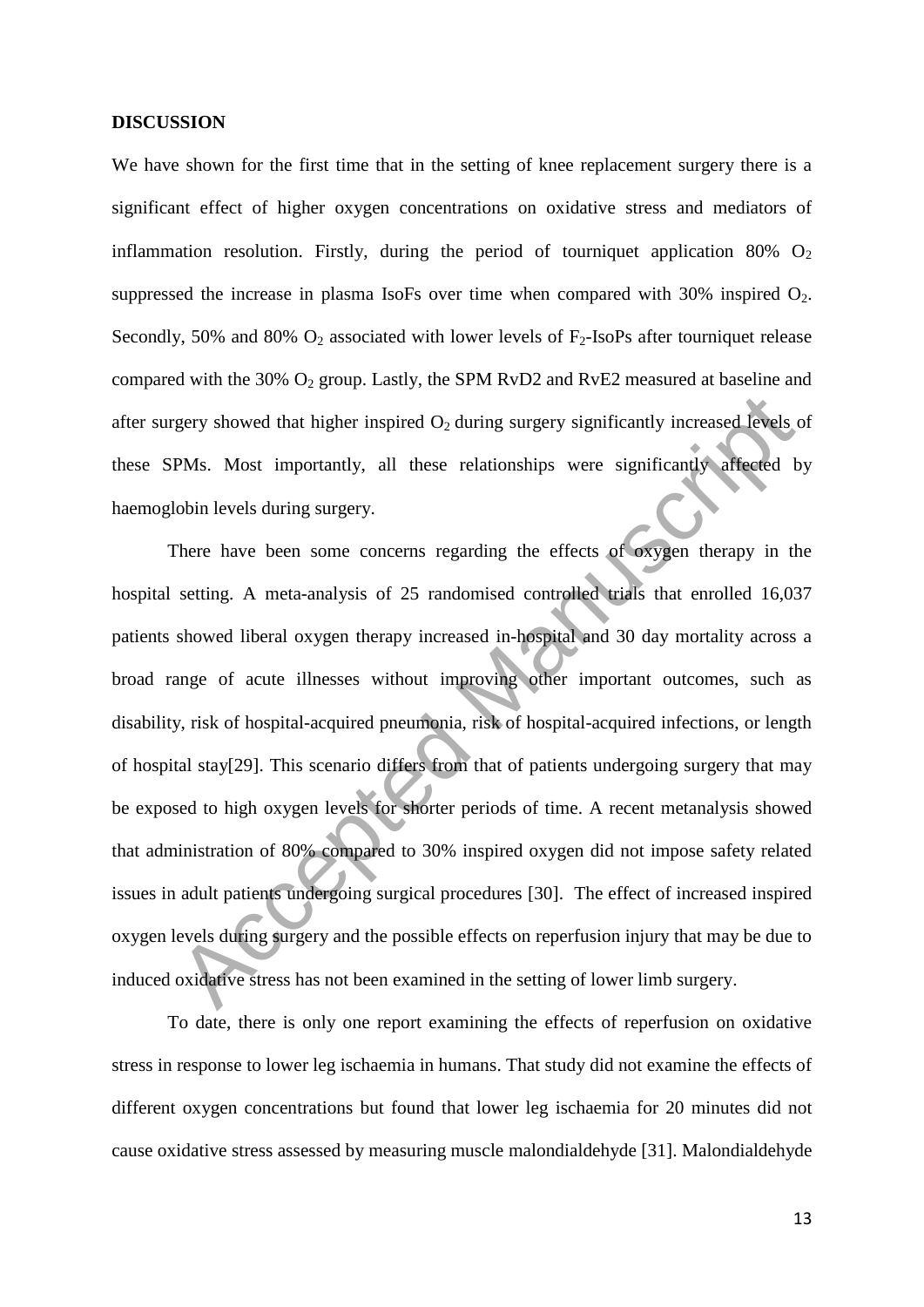#### **DISCUSSION**

We have shown for the first time that in the setting of knee replacement surgery there is a significant effect of higher oxygen concentrations on oxidative stress and mediators of inflammation resolution. Firstly, during the period of tourniquet application 80%  $O<sub>2</sub>$ suppressed the increase in plasma IsoFs over time when compared with  $30\%$  inspired  $O_2$ . Secondly, 50% and 80%  $O_2$  associated with lower levels of  $F_2$ -IsoPs after tourniquet release compared with the 30% O<sup>2</sup> group. Lastly, the SPM RvD2 and RvE2 measured at baseline and after surgery showed that higher inspired  $O<sub>2</sub>$  during surgery significantly increased levels of these SPMs. Most importantly, all these relationships were significantly affected by haemoglobin levels during surgery.

There have been some concerns regarding the effects of oxygen therapy in the hospital setting. A meta-analysis of 25 randomised controlled trials that enrolled 16,037 patients showed liberal oxygen therapy increased in-hospital and 30 day mortality across a broad range of acute illnesses without improving other important outcomes, such as disability, risk of hospital-acquired pneumonia, risk of hospital-acquired infections, or length of hospital stay[29]. This scenario differs from that of patients undergoing surgery that may be exposed to high oxygen levels for shorter periods of time. A recent metanalysis showed that administration of 80% compared to 30% inspired oxygen did not impose safety related issues in adult patients undergoing surgical procedures [30]. The effect of increased inspired oxygen levels during surgery and the possible effects on reperfusion injury that may be due to induced oxidative stress has not been examined in the setting of lower limb surgery. gery showed that higher inspired O<sub>2</sub> during surgery significantly increased levels<br>PMs. Most importantly, all these relationships were significantly affected<br>Iobin levels during surgery.<br>There have been some concerns rega

To date, there is only one report examining the effects of reperfusion on oxidative stress in response to lower leg ischaemia in humans. That study did not examine the effects of different oxygen concentrations but found that lower leg ischaemia for 20 minutes did not cause oxidative stress assessed by measuring muscle malondialdehyde [31]. Malondialdehyde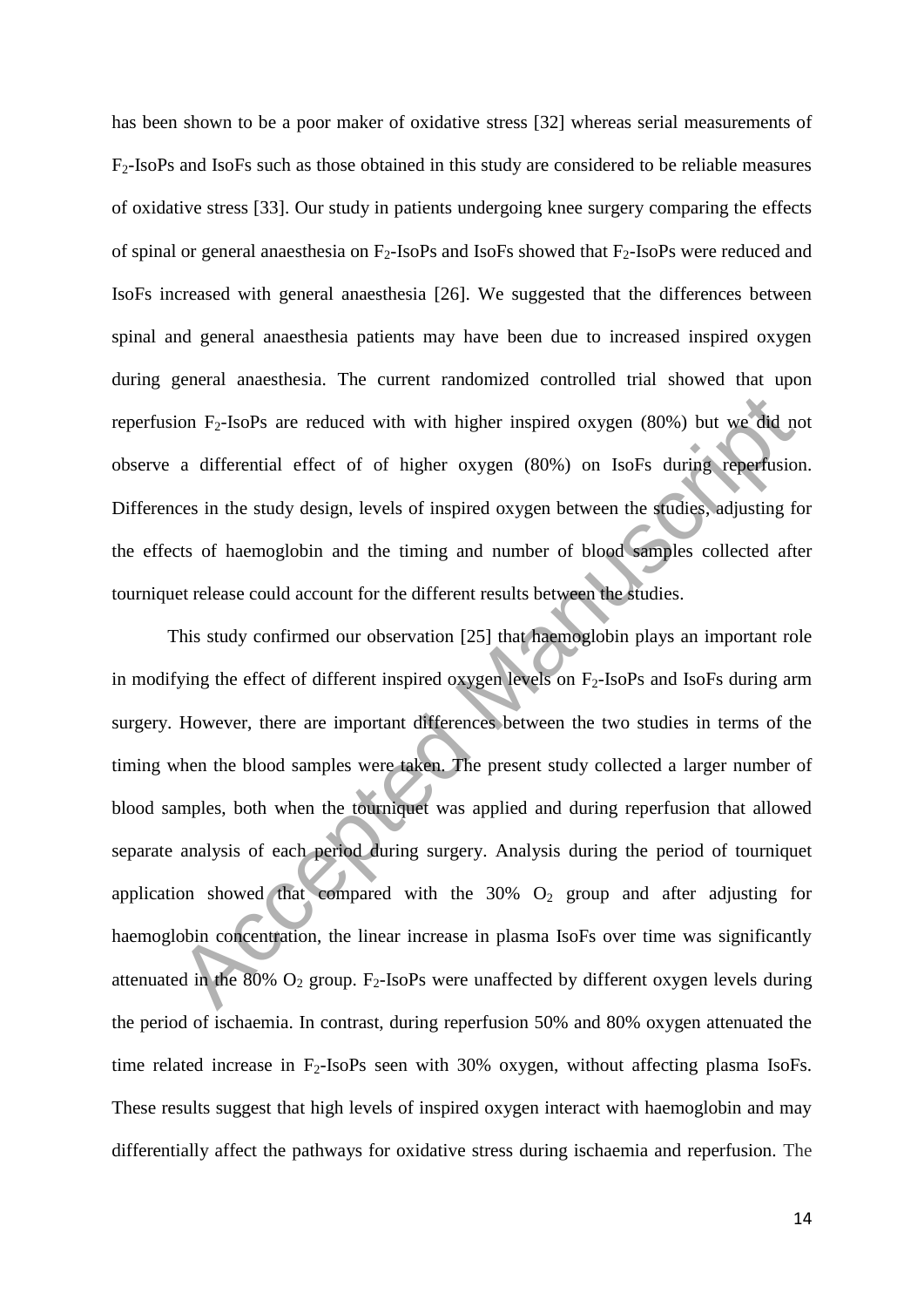has been shown to be a poor maker of oxidative stress [32] whereas serial measurements of F2-IsoPs and IsoFs such as those obtained in this study are considered to be reliable measures of oxidative stress [33]. Our study in patients undergoing knee surgery comparing the effects of spinal or general anaesthesia on  $F_2$ -IsoPs and IsoFs showed that  $F_2$ -IsoPs were reduced and IsoFs increased with general anaesthesia [26]. We suggested that the differences between spinal and general anaesthesia patients may have been due to increased inspired oxygen during general anaesthesia. The current randomized controlled trial showed that upon reperfusion  $F_2$ -IsoPs are reduced with with higher inspired oxygen (80%) but we did not observe a differential effect of of higher oxygen (80%) on IsoFs during reperfusion. Differences in the study design, levels of inspired oxygen between the studies, adjusting for the effects of haemoglobin and the timing and number of blood samples collected after tourniquet release could account for the different results between the studies.

This study confirmed our observation [25] that haemoglobin plays an important role in modifying the effect of different inspired oxygen levels on F<sub>2</sub>-IsoPs and IsoFs during arm surgery. However, there are important differences between the two studies in terms of the timing when the blood samples were taken. The present study collected a larger number of blood samples, both when the tourniquet was applied and during reperfusion that allowed separate analysis of each period during surgery. Analysis during the period of tourniquet application showed that compared with the  $30\%$   $O_2$  group and after adjusting for haemoglobin concentration, the linear increase in plasma IsoFs over time was significantly attenuated in the 80%  $O_2$  group.  $F_2$ -IsoPs were unaffected by different oxygen levels during the period of ischaemia. In contrast, during reperfusion 50% and 80% oxygen attenuated the time related increase in  $F_2$ -IsoPs seen with 30% oxygen, without affecting plasma IsoFs. These results suggest that high levels of inspired oxygen interact with haemoglobin and may differentially affect the pathways for oxidative stress during ischaemia and reperfusion. The ion  $F_2$ -IsoPs are reduced with with higher inspired oxygen (80%) but we did a<br>a differential effect of of higher oxygen (80%) on IsoFs during reperfusic<br>ces in the study design, levels of inspired oxygen between the stu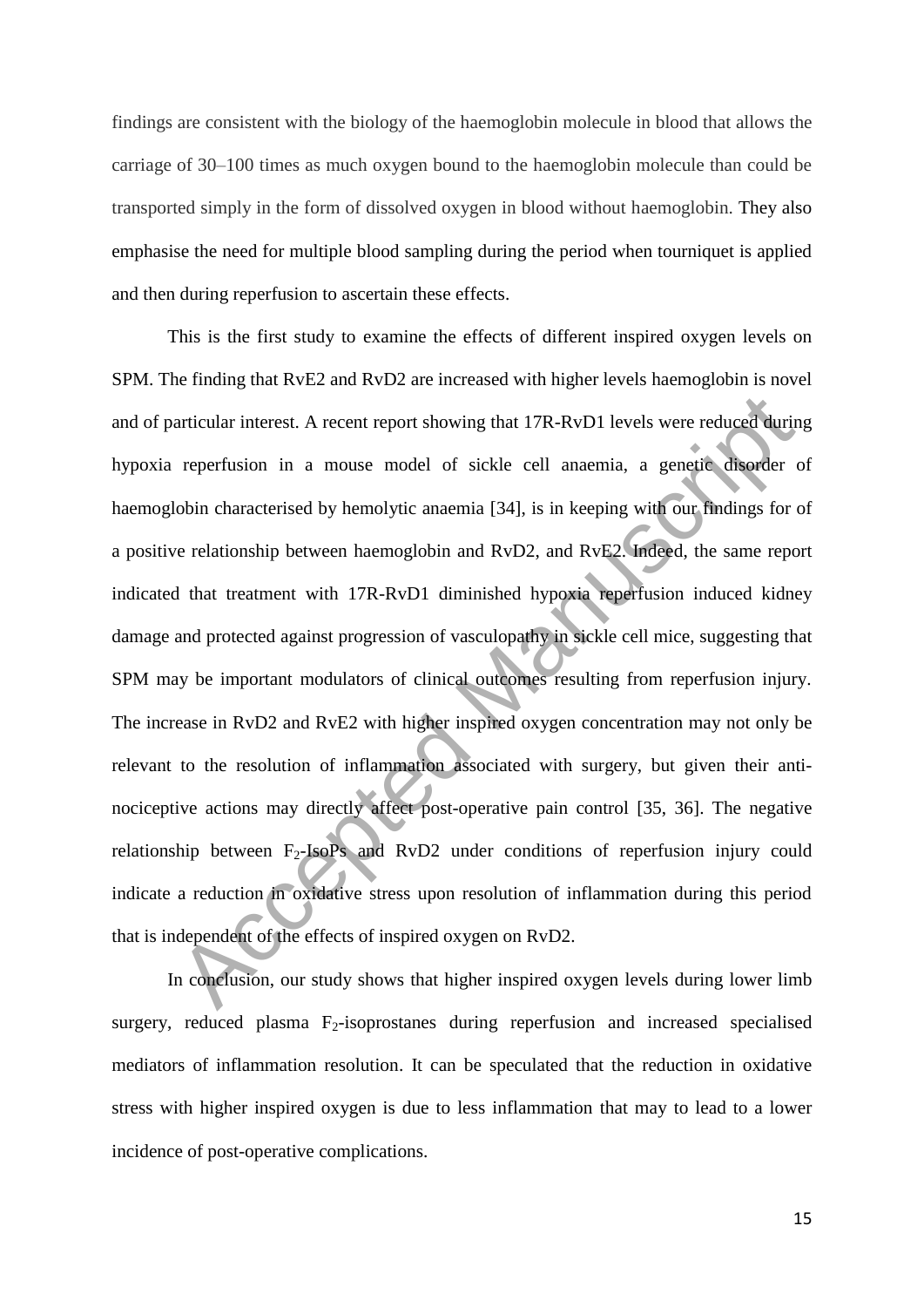findings are consistent with the biology of the haemoglobin molecule in blood that allows the carriage of 30–100 times as much oxygen bound to the haemoglobin molecule than could be transported simply in the form of dissolved oxygen in blood without haemoglobin. They also emphasise the need for multiple blood sampling during the period when tourniquet is applied and then during reperfusion to ascertain these effects.

This is the first study to examine the effects of different inspired oxygen levels on SPM. The finding that RvE2 and RvD2 are increased with higher levels haemoglobin is novel and of particular interest. A recent report showing that 17R-RvD1 levels were reduced during hypoxia reperfusion in a mouse model of sickle cell anaemia, a genetic disorder of haemoglobin characterised by hemolytic anaemia [34], is in keeping with our findings for of a positive relationship between haemoglobin and RvD2, and RvE2. Indeed, the same report indicated that treatment with 17R-RvD1 diminished hypoxia reperfusion induced kidney damage and protected against progression of vasculopathy in sickle cell mice, suggesting that SPM may be important modulators of clinical outcomes resulting from reperfusion injury. The increase in RvD2 and RvE2 with higher inspired oxygen concentration may not only be relevant to the resolution of inflammation associated with surgery, but given their antinociceptive actions may directly affect post-operative pain control [35, 36]. The negative relationship between  $F_2$ -IsoPs and RvD2 under conditions of reperfusion injury could indicate a reduction in oxidative stress upon resolution of inflammation during this period that is independent of the effects of inspired oxygen on RvD2. articular interest. A recent report showing that 17R-RvD1 levels were reduced duri<br>reperfusion in a mouse model of sickle cell anaemia, a generic disorder<br>lobin characterised by hemolytic anaemia [34], is in keeping with

In conclusion, our study shows that higher inspired oxygen levels during lower limb surgery, reduced plasma  $F_2$ -isoprostanes during reperfusion and increased specialised mediators of inflammation resolution. It can be speculated that the reduction in oxidative stress with higher inspired oxygen is due to less inflammation that may to lead to a lower incidence of post-operative complications.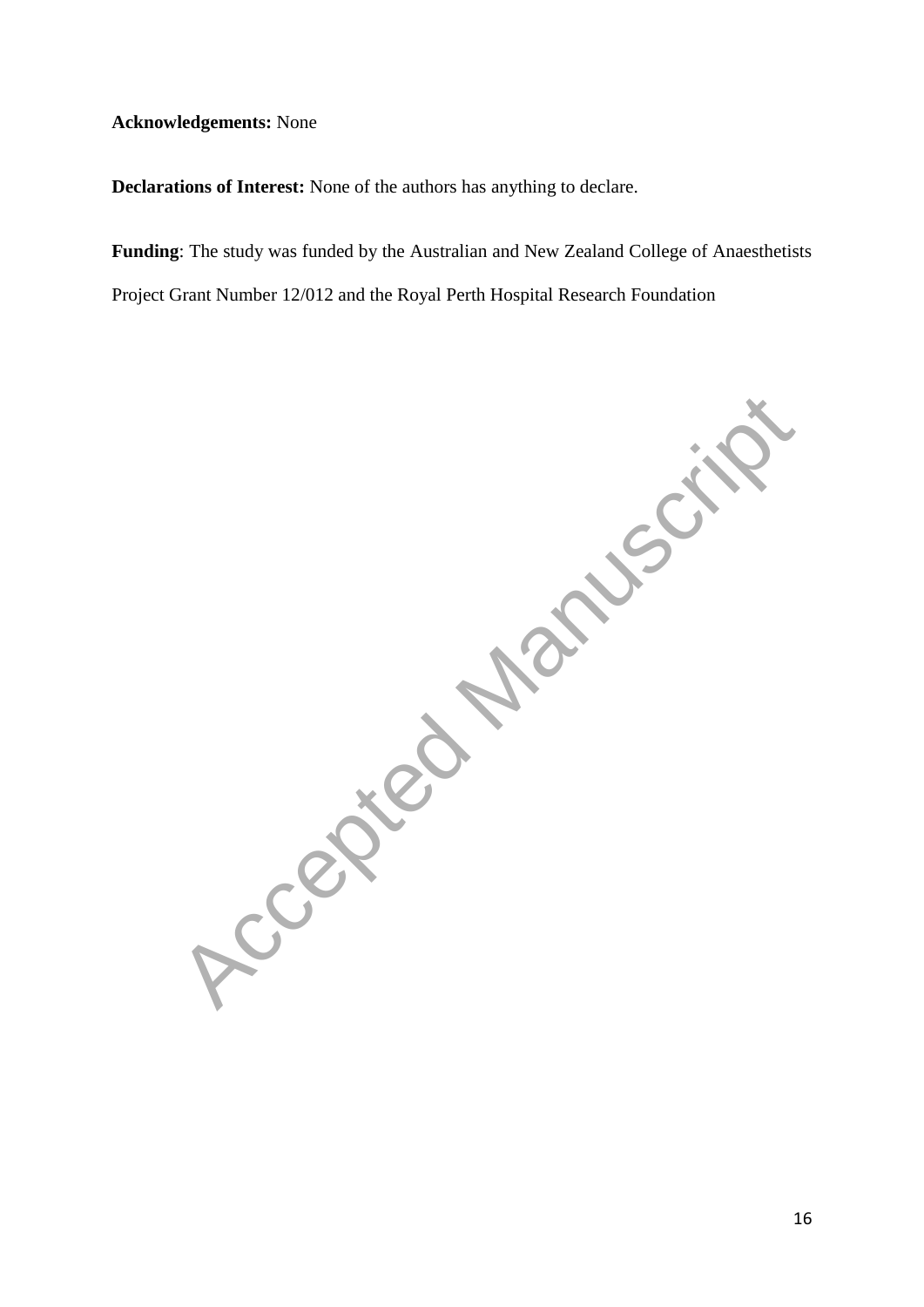# **Acknowledgements:** None

**Declarations of Interest:** None of the authors has anything to declare.

**Funding**: The study was funded by the Australian and New Zealand College of Anaesthetists Project Grant Number 12/012 and the Royal Perth Hospital Research Foundation

Accepted Manuscript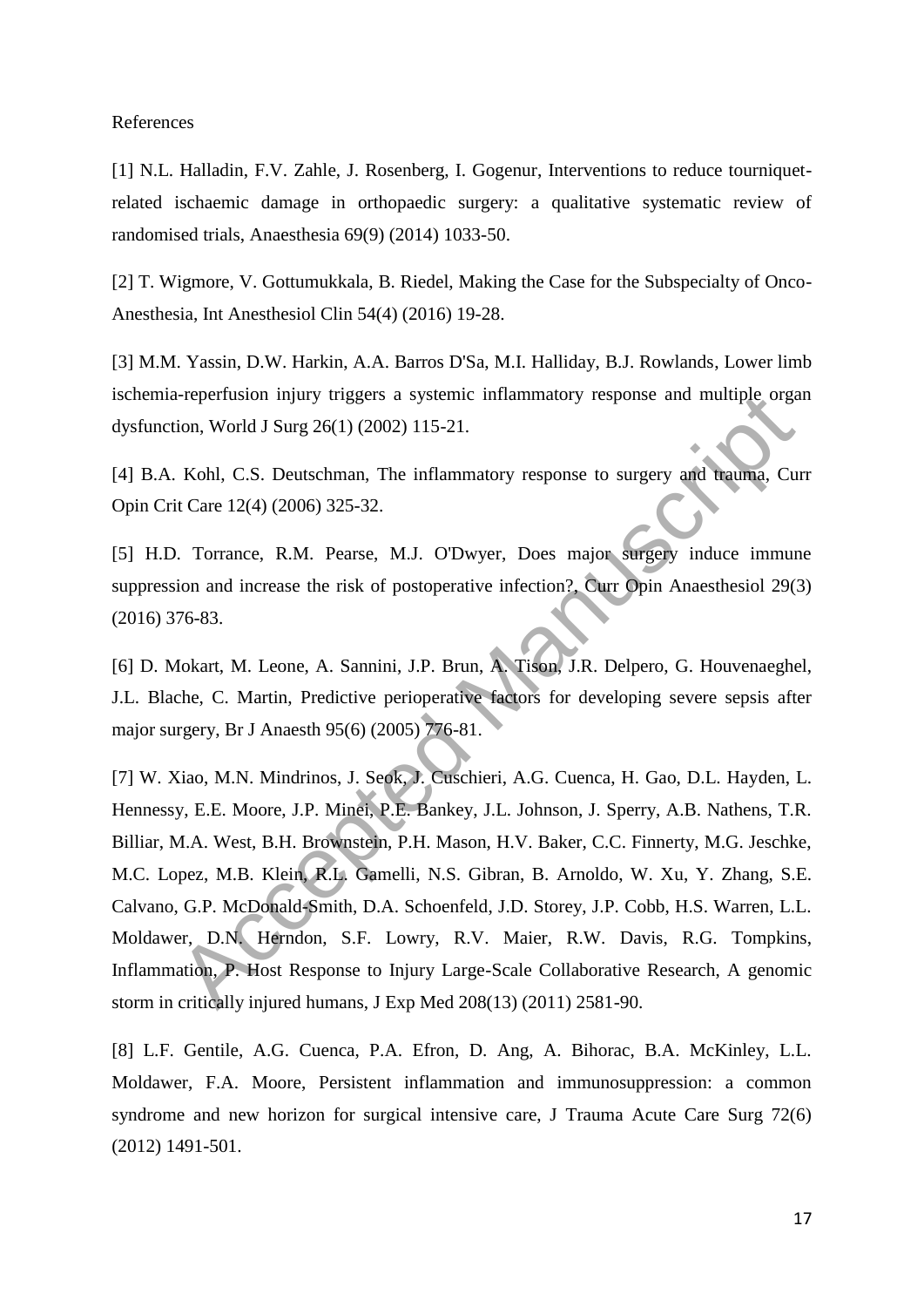### References

[1] N.L. Halladin, F.V. Zahle, J. Rosenberg, I. Gogenur, Interventions to reduce tourniquetrelated ischaemic damage in orthopaedic surgery: a qualitative systematic review of randomised trials, Anaesthesia 69(9) (2014) 1033-50.

[2] T. Wigmore, V. Gottumukkala, B. Riedel, Making the Case for the Subspecialty of Onco-Anesthesia, Int Anesthesiol Clin 54(4) (2016) 19-28.

[3] M.M. Yassin, D.W. Harkin, A.A. Barros D'Sa, M.I. Halliday, B.J. Rowlands, Lower limb ischemia-reperfusion injury triggers a systemic inflammatory response and multiple organ dysfunction, World J Surg 26(1) (2002) 115-21.

[4] B.A. Kohl, C.S. Deutschman, The inflammatory response to surgery and trauma, Curr Opin Crit Care 12(4) (2006) 325-32.

[5] H.D. Torrance, R.M. Pearse, M.J. O'Dwyer, Does major surgery induce immune suppression and increase the risk of postoperative infection?, Curr Opin Anaesthesiol 29(3) (2016) 376-83.

[6] D. Mokart, M. Leone, A. Sannini, J.P. Brun, A. Tison, J.R. Delpero, G. Houvenaeghel, J.L. Blache, C. Martin, Predictive perioperative factors for developing severe sepsis after major surgery, Br J Anaesth 95(6) (2005) 776-81.

[7] W. Xiao, M.N. Mindrinos, J. Seok, J. Cuschieri, A.G. Cuenca, H. Gao, D.L. Hayden, L. Hennessy, E.E. Moore, J.P. Minei, P.E. Bankey, J.L. Johnson, J. Sperry, A.B. Nathens, T.R. Billiar, M.A. West, B.H. Brownstein, P.H. Mason, H.V. Baker, C.C. Finnerty, M.G. Jeschke, M.C. Lopez, M.B. Klein, R.L. Gamelli, N.S. Gibran, B. Arnoldo, W. Xu, Y. Zhang, S.E. Calvano, G.P. McDonald-Smith, D.A. Schoenfeld, J.D. Storey, J.P. Cobb, H.S. Warren, L.L. Moldawer, D.N. Herndon, S.F. Lowry, R.V. Maier, R.W. Davis, R.G. Tompkins, Inflammation, P. Host Response to Injury Large-Scale Collaborative Research, A genomic storm in critically injured humans, J Exp Med 208(13) (2011) 2581-90. Fepertusion mjury triggers a systemic inframmatory response and multiple orgion, World J Surg 26(1) (2002) 115-21.<br>
Accel Manuscript Essential Transmatery response to surgery and training, Cu Care 12(4) (2006) 325-32.<br>
Acc

[8] L.F. Gentile, A.G. Cuenca, P.A. Efron, D. Ang, A. Bihorac, B.A. McKinley, L.L. Moldawer, F.A. Moore, Persistent inflammation and immunosuppression: a common syndrome and new horizon for surgical intensive care, J Trauma Acute Care Surg 72(6) (2012) 1491-501.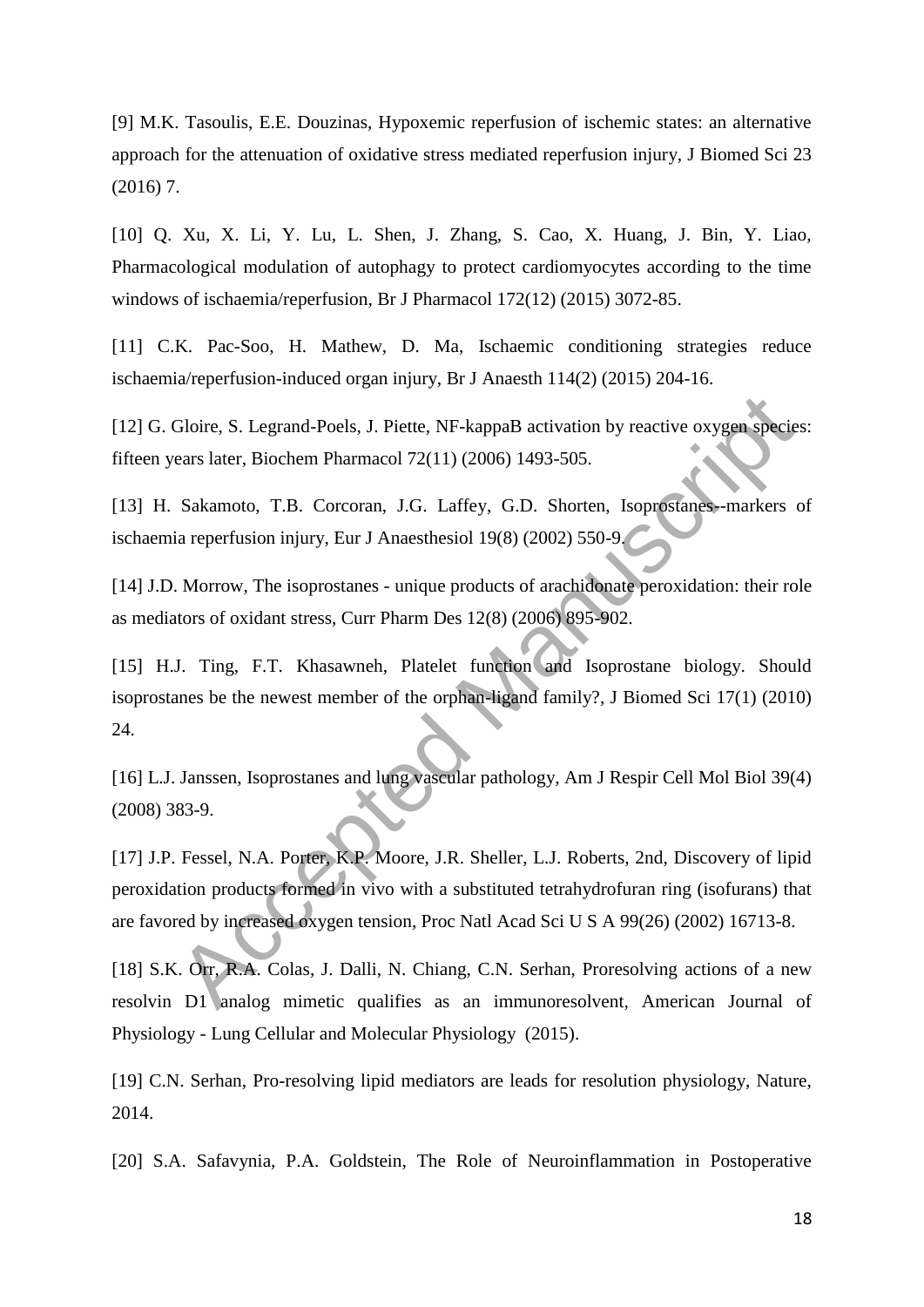[9] M.K. Tasoulis, E.E. Douzinas, Hypoxemic reperfusion of ischemic states: an alternative approach for the attenuation of oxidative stress mediated reperfusion injury, J Biomed Sci 23 (2016) 7.

[10] Q. Xu, X. Li, Y. Lu, L. Shen, J. Zhang, S. Cao, X. Huang, J. Bin, Y. Liao, Pharmacological modulation of autophagy to protect cardiomyocytes according to the time windows of ischaemia/reperfusion, Br J Pharmacol 172(12) (2015) 3072-85.

[11] C.K. Pac-Soo, H. Mathew, D. Ma, Ischaemic conditioning strategies reduce ischaemia/reperfusion-induced organ injury, Br J Anaesth 114(2) (2015) 204-16.

[12] G. Gloire, S. Legrand-Poels, J. Piette, NF-kappaB activation by reactive oxygen species: fifteen years later, Biochem Pharmacol 72(11) (2006) 1493-505.

[13] H. Sakamoto, T.B. Corcoran, J.G. Laffey, G.D. Shorten, Isoprostanes--markers of ischaemia reperfusion injury, Eur J Anaesthesiol 19(8) (2002) 550-9.

[14] J.D. Morrow, The isoprostanes - unique products of arachidonate peroxidation: their role as mediators of oxidant stress, Curr Pharm Des 12(8) (2006) 895-902.

[15] H.J. Ting, F.T. Khasawneh, Platelet function and Isoprostane biology. Should isoprostanes be the newest member of the orphan-ligand family?, J Biomed Sci 17(1) (2010) 24.

[16] L.J. Janssen, Isoprostanes and lung vascular pathology, Am J Respir Cell Mol Biol 39(4) (2008) 383-9.

[17] J.P. Fessel, N.A. Porter, K.P. Moore, J.R. Sheller, L.J. Roberts, 2nd, Discovery of lipid peroxidation products formed in vivo with a substituted tetrahydrofuran ring (isofurans) that are favored by increased oxygen tension, Proc Natl Acad Sci U S A 99(26) (2002) 16713-8. Gloire, S. Legrand-Poels, J. Piette, NF-kappaB activation by reactive oxygen species<br>vears later, Biochem Pharmacol 72(11) (2006) 1493-505.<br>Sakamoto, T.B. Corcoran, J.G. Laffey, G.D. Shorten, Isoprostances-markers<br>ia reper

[18] S.K. Orr, R.A. Colas, J. Dalli, N. Chiang, C.N. Serhan, Proresolving actions of a new resolvin D1 analog mimetic qualifies as an immunoresolvent, American Journal of Physiology - Lung Cellular and Molecular Physiology (2015).

[19] C.N. Serhan, Pro-resolving lipid mediators are leads for resolution physiology, Nature, 2014.

[20] S.A. Safavynia, P.A. Goldstein, The Role of Neuroinflammation in Postoperative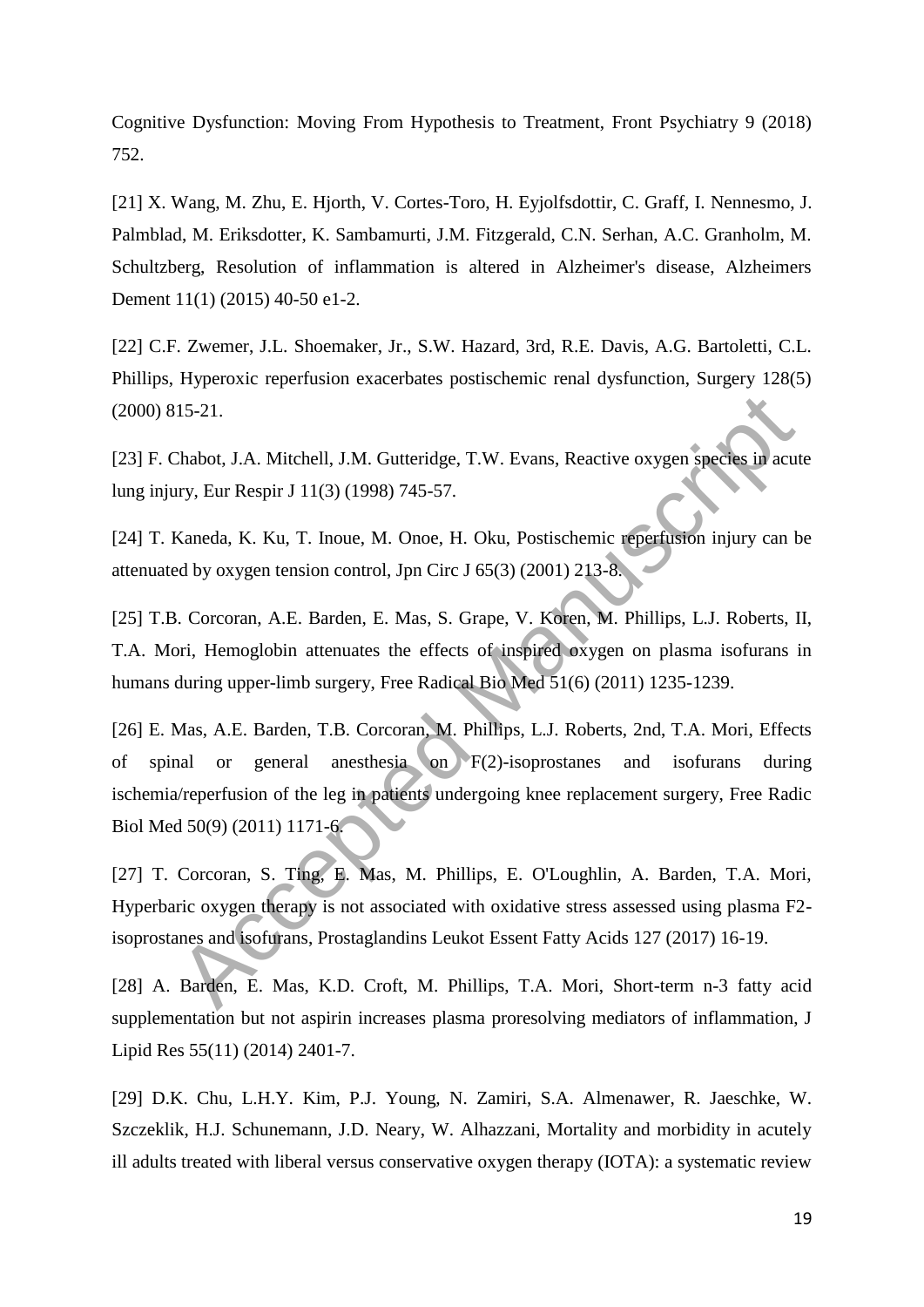Cognitive Dysfunction: Moving From Hypothesis to Treatment, Front Psychiatry 9 (2018) 752.

[21] X. Wang, M. Zhu, E. Hjorth, V. Cortes-Toro, H. Eyjolfsdottir, C. Graff, I. Nennesmo, J. Palmblad, M. Eriksdotter, K. Sambamurti, J.M. Fitzgerald, C.N. Serhan, A.C. Granholm, M. Schultzberg, Resolution of inflammation is altered in Alzheimer's disease, Alzheimers Dement 11(1) (2015) 40-50 e1-2.

[22] C.F. Zwemer, J.L. Shoemaker, Jr., S.W. Hazard, 3rd, R.E. Davis, A.G. Bartoletti, C.L. Phillips, Hyperoxic reperfusion exacerbates postischemic renal dysfunction, Surgery 128(5) (2000) 815-21.

[23] F. Chabot, J.A. Mitchell, J.M. Gutteridge, T.W. Evans, Reactive oxygen species in acute lung injury, Eur Respir J 11(3) (1998) 745-57.

[24] T. Kaneda, K. Ku, T. Inoue, M. Onoe, H. Oku, Postischemic reperfusion injury can be attenuated by oxygen tension control, Jpn Circ J 65(3) (2001) 213-8.

[25] T.B. Corcoran, A.E. Barden, E. Mas, S. Grape, V. Koren, M. Phillips, L.J. Roberts, II, T.A. Mori, Hemoglobin attenuates the effects of inspired oxygen on plasma isofurans in humans during upper-limb surgery, Free Radical Bio Med 51(6) (2011) 1235-1239.

[26] E. Mas, A.E. Barden, T.B. Corcoran, M. Phillips, L.J. Roberts, 2nd, T.A. Mori, Effects of spinal or general anesthesia on  $F(2)$ -isoprostanes and isofurans during ischemia/reperfusion of the leg in patients undergoing knee replacement surgery, Free Radic Biol Med 50(9) (2011) 1171-6. 115-21.<br>
Chabot, J.A. Mitchell, J.M. Gutteridge, T.W. Evans, Reactive oxygen species in act<br>
117. Eur Respir J 11(3) (1998) 745-57.<br>
Kaneda, K. Ku, T. Inoue, M. Onoe, H. Oku, Postischemic repertusion injury can<br>
ed by oxyg

[27] T. Corcoran, S. Ting, E. Mas, M. Phillips, E. O'Loughlin, A. Barden, T.A. Mori, Hyperbaric oxygen therapy is not associated with oxidative stress assessed using plasma F2 isoprostanes and isofurans, Prostaglandins Leukot Essent Fatty Acids 127 (2017) 16-19.

[28] A. Barden, E. Mas, K.D. Croft, M. Phillips, T.A. Mori, Short-term n-3 fatty acid supplementation but not aspirin increases plasma proresolving mediators of inflammation, J Lipid Res 55(11) (2014) 2401-7.

[29] D.K. Chu, L.H.Y. Kim, P.J. Young, N. Zamiri, S.A. Almenawer, R. Jaeschke, W. Szczeklik, H.J. Schunemann, J.D. Neary, W. Alhazzani, Mortality and morbidity in acutely ill adults treated with liberal versus conservative oxygen therapy (IOTA): a systematic review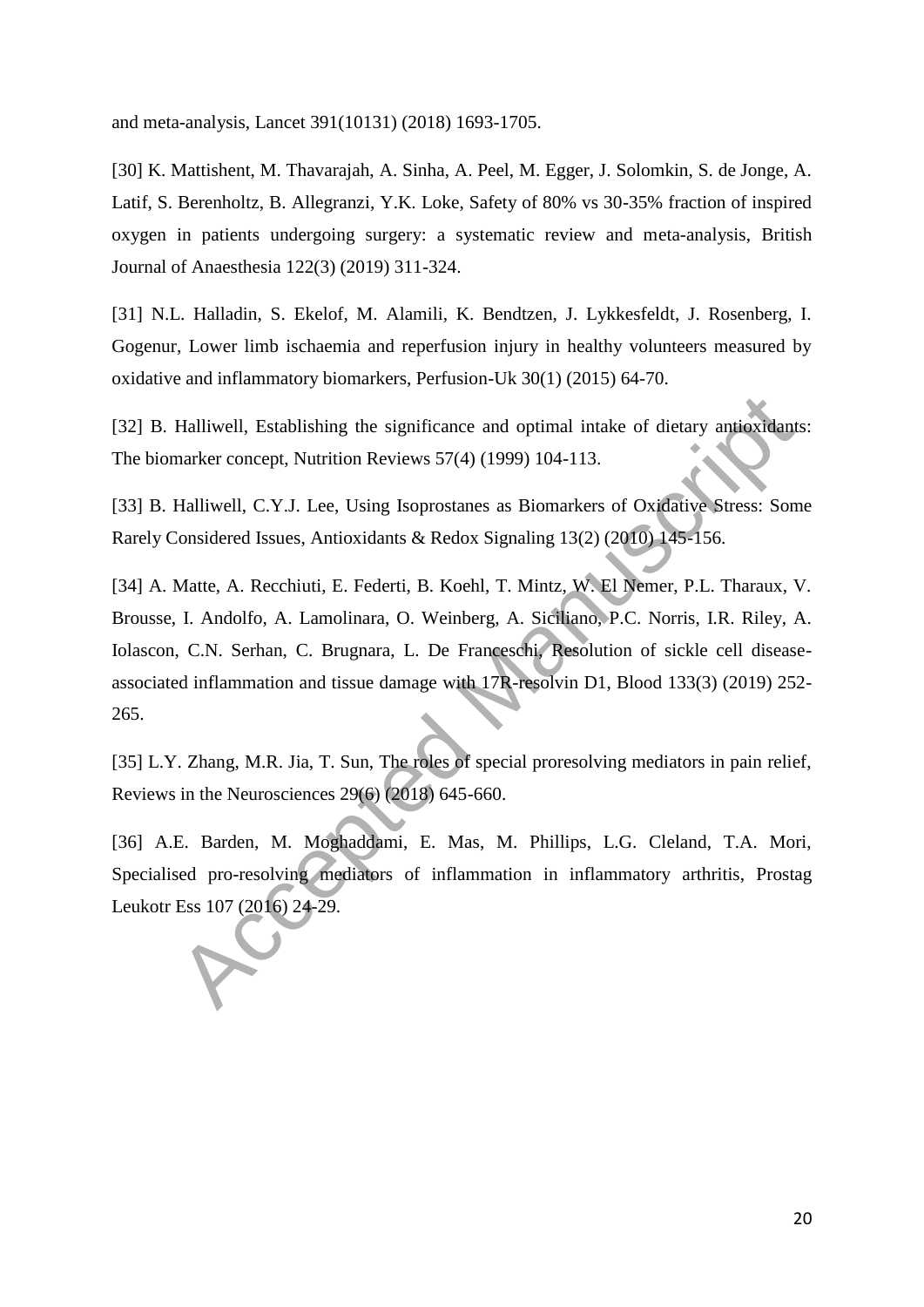and meta-analysis, Lancet 391(10131) (2018) 1693-1705.

[30] K. Mattishent, M. Thavarajah, A. Sinha, A. Peel, M. Egger, J. Solomkin, S. de Jonge, A. Latif, S. Berenholtz, B. Allegranzi, Y.K. Loke, Safety of 80% vs 30-35% fraction of inspired oxygen in patients undergoing surgery: a systematic review and meta-analysis, British Journal of Anaesthesia 122(3) (2019) 311-324.

[31] N.L. Halladin, S. Ekelof, M. Alamili, K. Bendtzen, J. Lykkesfeldt, J. Rosenberg, I. Gogenur, Lower limb ischaemia and reperfusion injury in healthy volunteers measured by oxidative and inflammatory biomarkers, Perfusion-Uk 30(1) (2015) 64-70.

[32] B. Halliwell, Establishing the significance and optimal intake of dietary antioxidants: The biomarker concept, Nutrition Reviews 57(4) (1999) 104-113.

[33] B. Halliwell, C.Y.J. Lee, Using Isoprostanes as Biomarkers of Oxidative Stress: Some Rarely Considered Issues, Antioxidants & Redox Signaling 13(2) (2010) 145-156.

[34] A. Matte, A. Recchiuti, E. Federti, B. Koehl, T. Mintz, W. El Nemer, P.L. Tharaux, V. Brousse, I. Andolfo, A. Lamolinara, O. Weinberg, A. Siciliano, P.C. Norris, I.R. Riley, A. Iolascon, C.N. Serhan, C. Brugnara, L. De Franceschi, Resolution of sickle cell diseaseassociated inflammation and tissue damage with 17R-resolvin D1, Blood 133(3) (2019) 252- 265. [32] B. Halliwell, Establishing the significance and optimal intake of dietary antioxidan<br>The biomarker concept, Nutrition Reviews 57(4) (1999) 104-113.<br>
[33] B. Halliwell, C.Y.J. Lee, Using Isoprostanes as Biomarkers of

[35] L.Y. Zhang, M.R. Jia, T. Sun, The roles of special proresolving mediators in pain relief, Reviews in the Neurosciences 29(6) (2018) 645-660.

[36] A.E. Barden, M. Moghaddami, E. Mas, M. Phillips, L.G. Cleland, T.A. Mori, Specialised pro-resolving mediators of inflammation in inflammatory arthritis, Prostag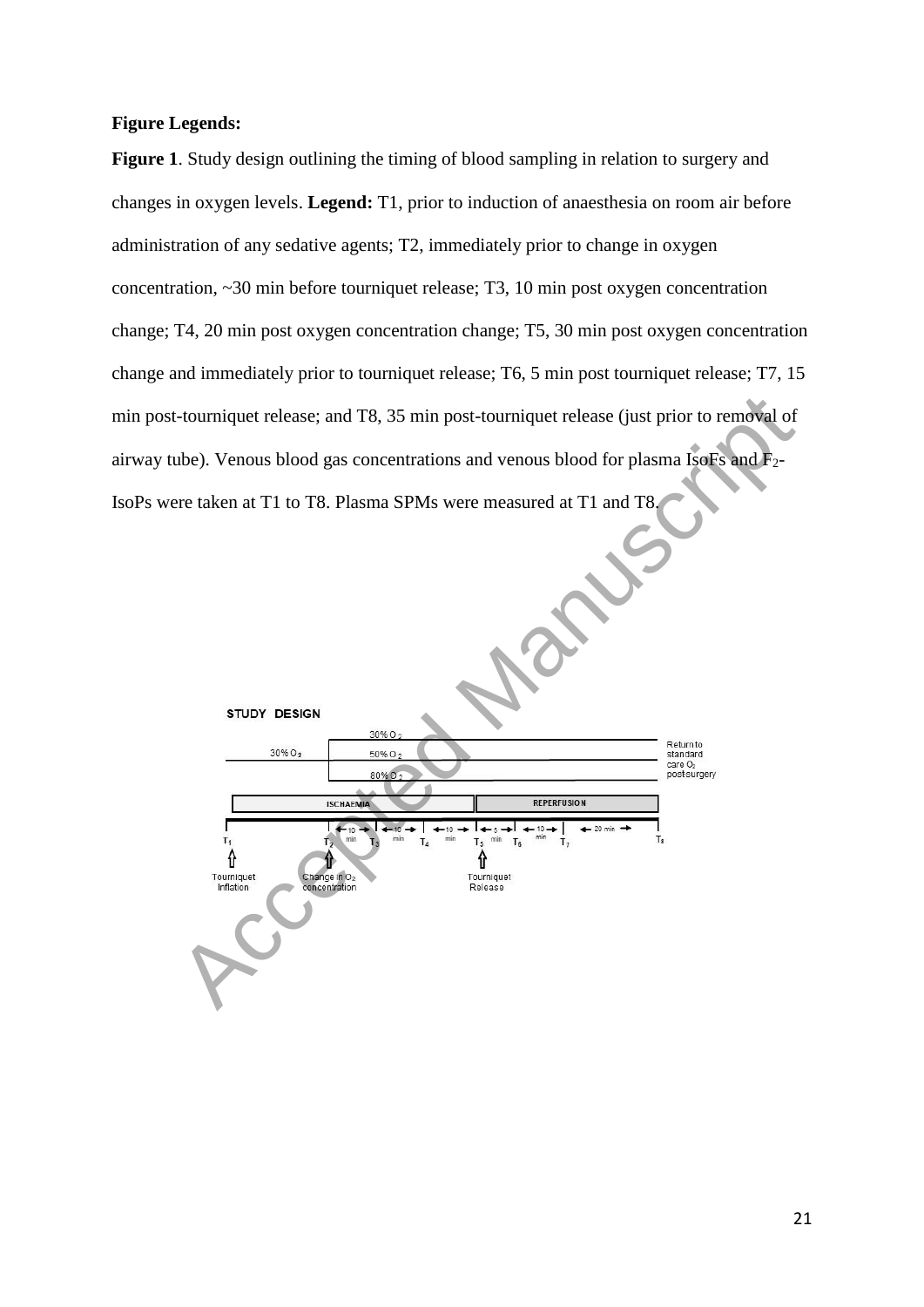# **Figure Legends:**

**Figure 1**. Study design outlining the timing of blood sampling in relation to surgery and changes in oxygen levels. **Legend:** T1, prior to induction of anaesthesia on room air before administration of any sedative agents; T2, immediately prior to change in oxygen concentration, ~30 min before tourniquet release; T3, 10 min post oxygen concentration change; T4, 20 min post oxygen concentration change; T5, 30 min post oxygen concentration change and immediately prior to tourniquet release; T6, 5 min post tourniquet release; T7, 15 min post-tourniquet release; and T8, 35 min post-tourniquet release (just prior to removal of airway tube). Venous blood gas concentrations and venous blood for plasma IsoFs and  $F_2$ -

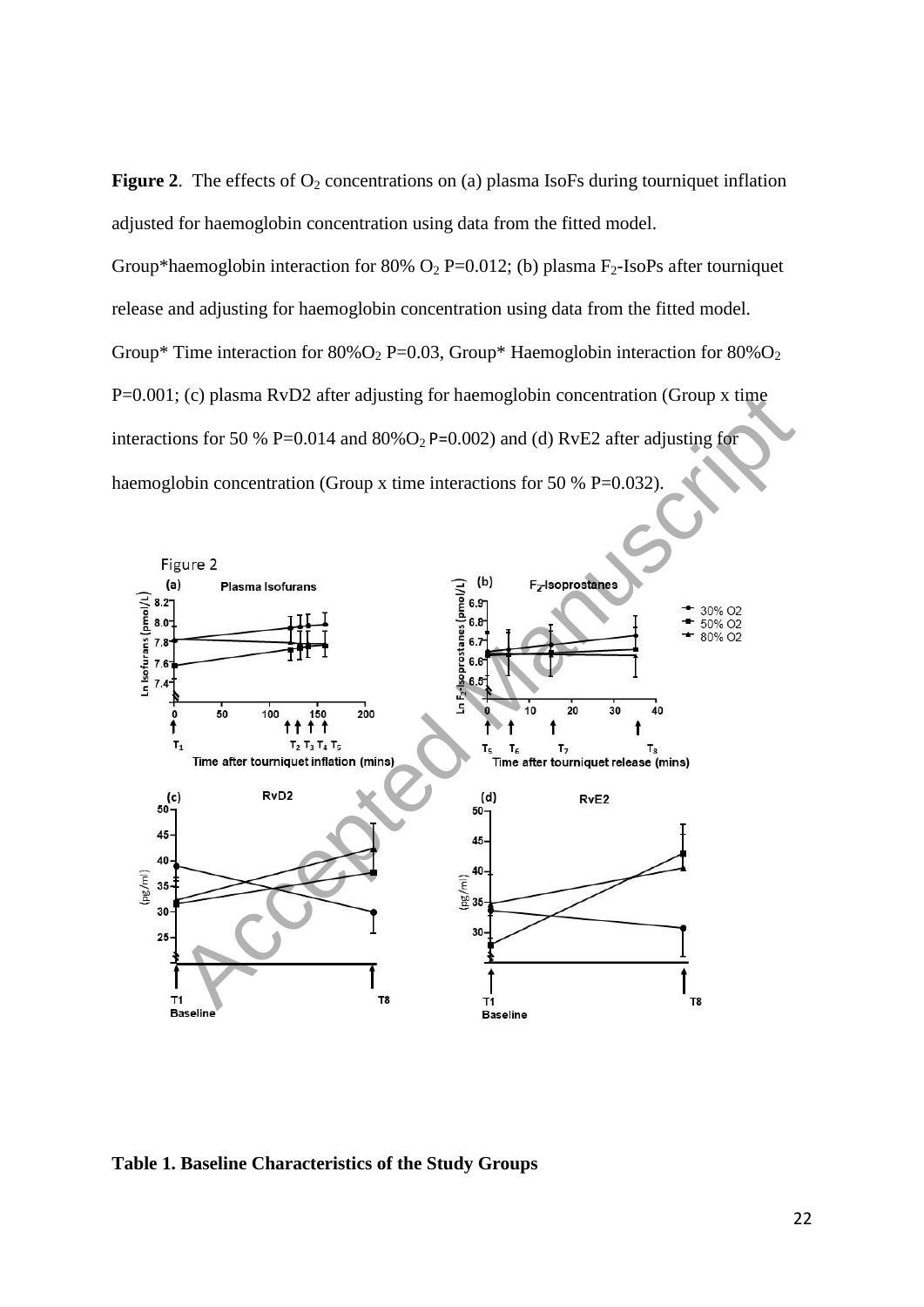**Figure 2.** The effects of  $O_2$  concentrations on (a) plasma IsoFs during tourniquet inflation adjusted for haemoglobin concentration using data from the fitted model.

Group\*haemoglobin interaction for 80% O<sub>2</sub> P=0.012; (b) plasma  $F_2$ -IsoPs after tourniquet release and adjusting for haemoglobin concentration using data from the fitted model. Group\* Time interaction for  $80\%$  O<sub>2</sub> P=0.03, Group\* Haemoglobin interaction for  $80\%$  O<sub>2</sub> P=0.001; (c) plasma RvD2 after adjusting for haemoglobin concentration (Group x time interactions for 50 % P=0.014 and  $80\%O_2$  P=0.002) and (d) RvE2 after adjusting for haemoglobin concentration (Group x time interactions for 50 % P=0.032).



**Table 1. Baseline Characteristics of the Study Groups**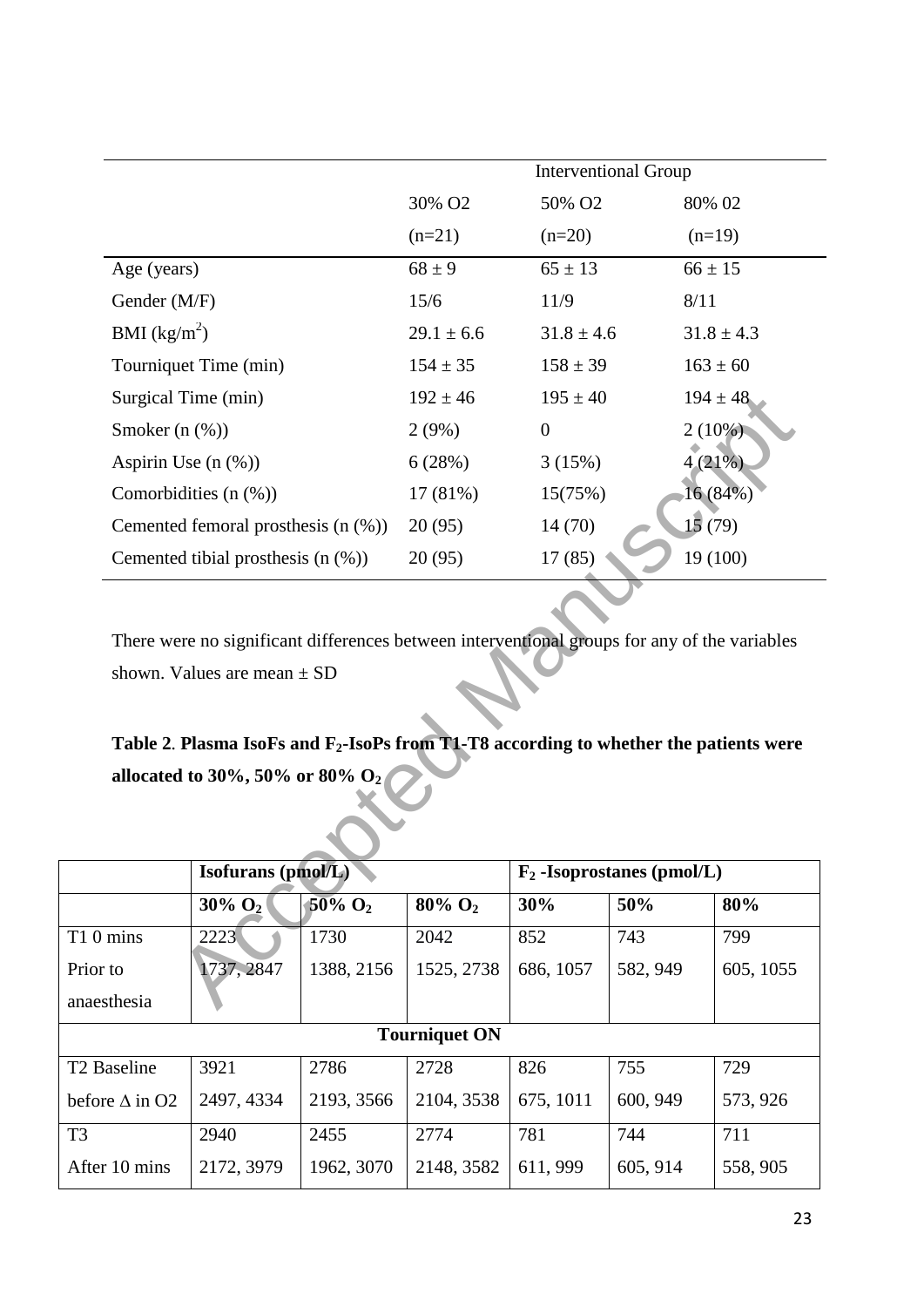|                         |                                                                                                   |            |                    |                  | <b>Interventional Group</b>  |                |  |
|-------------------------|---------------------------------------------------------------------------------------------------|------------|--------------------|------------------|------------------------------|----------------|--|
|                         |                                                                                                   |            | 30% O <sub>2</sub> | 50% O2           |                              | 80% 02         |  |
|                         |                                                                                                   |            | $(n=21)$           | $(n=20)$         |                              | $(n=19)$       |  |
| Age (years)             |                                                                                                   |            | $68 \pm 9$         | $65 \pm 13$      |                              | $66 \pm 15$    |  |
| Gender (M/F)            |                                                                                                   |            | 15/6               | 11/9             | 8/11                         |                |  |
| BMI $(kg/m^2)$          |                                                                                                   |            | $29.1 \pm 6.6$     | $31.8 \pm 4.6$   |                              | $31.8 \pm 4.3$ |  |
|                         | Tourniquet Time (min)                                                                             |            | $154 \pm 35$       | $158 \pm 39$     |                              | $163 \pm 60$   |  |
| Surgical Time (min)     |                                                                                                   |            | $192 \pm 46$       | $195 \pm 40$     |                              | $194 \pm 48$   |  |
| Smoker $(n \ (\%))$     |                                                                                                   |            | 2(9%)              | $\boldsymbol{0}$ |                              | 2(10%)         |  |
| Aspirin Use $(n \ (\%)$ |                                                                                                   |            | 6(28%)             | 3(15%)           |                              | 4(21%)         |  |
|                         | Comorbidities $(n \, (\%)$                                                                        |            | 17 (81%)           | 15(75%)          |                              | 16 (84%)       |  |
|                         | Cemented femoral prosthesis $(n \, (\%)$                                                          |            | 20(95)             | 14(70)           |                              | 15(79)         |  |
|                         | Cemented tibial prosthesis $(n \, (\%)$                                                           |            | 20(95)             | 17(85)           |                              | 19 (100)       |  |
|                         | There were no significant differences between interventional groups for any of the variables      |            |                    |                  |                              |                |  |
|                         |                                                                                                   |            |                    |                  |                              |                |  |
|                         | shown. Values are mean $\pm$ SD                                                                   |            |                    |                  |                              |                |  |
|                         |                                                                                                   |            |                    |                  |                              |                |  |
|                         | Table 2. Plasma IsoFs and F <sub>2</sub> -IsoPs from T1-T8 according to whether the patients were |            |                    |                  |                              |                |  |
|                         | allocated to 30%, 50% or 80% $O_2$                                                                |            |                    |                  |                              |                |  |
|                         | Isofurans (pmol/L)                                                                                |            |                    |                  | $F_2$ -Isoprostanes (pmol/L) |                |  |
|                         | $30\%$ O <sub>2</sub>                                                                             | $50\% O_2$ | 80% O <sub>2</sub> | 30%              | 50%                          | 80%            |  |
| mins                    | 2223                                                                                              | 1730       | 2042               | 852              | 743                          | 799            |  |
| to <sup>'</sup>         | 1737, 2847                                                                                        | 1388, 2156 | 1525, 2738         | 686, 1057        | 582, 949                     | 605, 1055      |  |
| sthesia                 |                                                                                                   |            |                    |                  |                              |                |  |

|                                    | Table 2. Plasma IsoFs and $F_2$ -IsoPs from T1-T8 according to whether the patients were |
|------------------------------------|------------------------------------------------------------------------------------------|
| allocated to 30%, 50% or 80% $O_2$ |                                                                                          |

|                         | <b>Isofurans</b> (pmol/L) |            |                       | $F_2$ -Isoprostanes (pmol/L) |          |           |
|-------------------------|---------------------------|------------|-----------------------|------------------------------|----------|-----------|
|                         | $30\%$ O <sub>2</sub>     | $50\% O_2$ | $80\%$ O <sub>2</sub> | 30%                          | 50%      | 80%       |
| T <sub>1</sub> 0 mins   | 2223                      | 1730       | 2042                  | 852                          | 743      | 799       |
| Prior to                | 1737, 2847                | 1388, 2156 | 1525, 2738            | 686, 1057                    | 582, 949 | 605, 1055 |
| anaesthesia             |                           |            |                       |                              |          |           |
|                         |                           |            | <b>Tourniquet ON</b>  |                              |          |           |
| T <sub>2</sub> Baseline | 3921                      | 2786       | 2728                  | 826                          | 755      | 729       |
| before $\Delta$ in O2   | 2497, 4334                | 2193, 3566 | 2104, 3538            | 675, 1011                    | 600, 949 | 573, 926  |
| T <sub>3</sub>          | 2940                      | 2455       | 2774                  | 781                          | 744      | 711       |
| After 10 mins           | 2172, 3979                | 1962, 3070 | 2148, 3582            | 611, 999                     | 605, 914 | 558, 905  |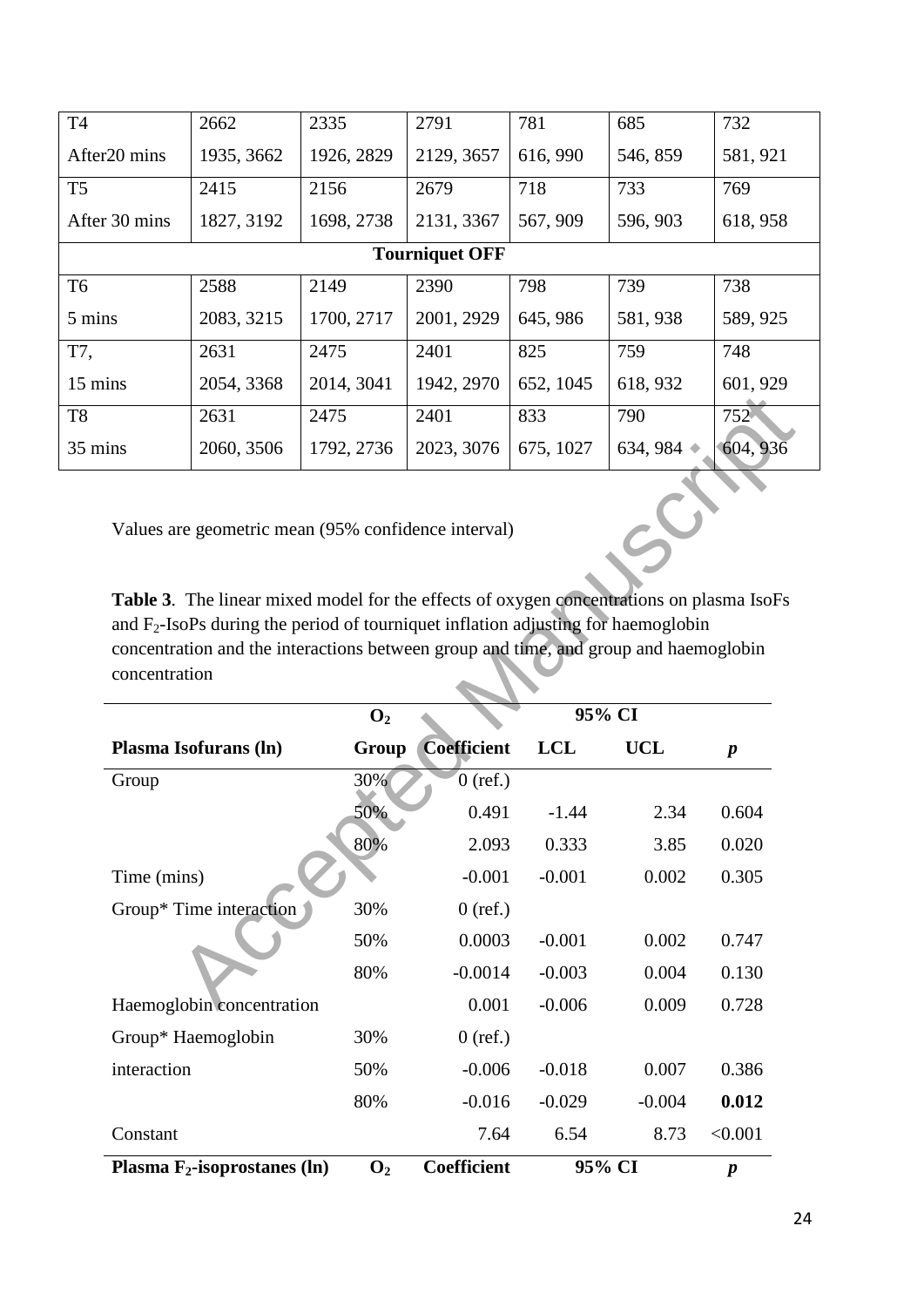| T <sub>4</sub>           | 2662       | 2335       | 2791                  | 781       | 685      | 732      |
|--------------------------|------------|------------|-----------------------|-----------|----------|----------|
| After <sub>20</sub> mins | 1935, 3662 | 1926, 2829 | 2129, 3657            | 616, 990  | 546, 859 | 581, 921 |
| T <sub>5</sub>           | 2415       | 2156       | 2679                  | 718       | 733      | 769      |
| After 30 mins            | 1827, 3192 | 1698, 2738 | 2131, 3367            | 567, 909  | 596, 903 | 618, 958 |
|                          |            |            | <b>Tourniquet OFF</b> |           |          |          |
| T <sub>6</sub>           | 2588       | 2149       | 2390                  | 798       | 739      | 738      |
| 5 mins                   | 2083, 3215 | 1700, 2717 | 2001, 2929            | 645, 986  | 581, 938 | 589, 925 |
| T7,                      | 2631       | 2475       | 2401                  | 825       | 759      | 748      |
| 15 mins                  | 2054, 3368 | 2014, 3041 | 1942, 2970            | 652, 1045 | 618, 932 | 601, 929 |
| T <sub>8</sub>           | 2631       | 2475       | 2401                  | 833       | 790      | 752      |
| 35 mins                  | 2060, 3506 | 1792, 2736 | 2023, 3076            | 675, 1027 | 634, 984 | 604, 936 |

**Table 3**. The linear mixed model for the effects of oxygen concentrations on plasma IsoFs and F2-IsoPs during the period of tourniquet inflation adjusting for haemoglobin concentration and the interactions between group and time, and group and haemoglobin concentration

|               | 2631                                                                                                                                                                                                                                    | 2475           | 2401               | 833        | 790        | 752              |
|---------------|-----------------------------------------------------------------------------------------------------------------------------------------------------------------------------------------------------------------------------------------|----------------|--------------------|------------|------------|------------------|
| ins           | 2060, 3506                                                                                                                                                                                                                              | 1792, 2736     | 2023, 3076         | 675, 1027  | 634, 984   | 604, 936         |
|               | Values are geometric mean (95% confidence interval)<br>Table 3. The linear mixed model for the effects of oxygen concentrations on plasma IsoFs<br>and $F_2$ -IsoPs during the period of tourniquet inflation adjusting for haemoglobin |                |                    |            |            |                  |
|               | concentration and the interactions between group and time, and group and haemoglobin                                                                                                                                                    |                |                    |            |            |                  |
| concentration |                                                                                                                                                                                                                                         |                |                    |            |            |                  |
|               |                                                                                                                                                                                                                                         | O <sub>2</sub> |                    |            | 95% CI     |                  |
|               | Plasma Isofurans (ln)                                                                                                                                                                                                                   | Group          | <b>Coefficient</b> | <b>LCL</b> | <b>UCL</b> | $\boldsymbol{p}$ |
| Group         |                                                                                                                                                                                                                                         | 30%            | $0$ (ref.)         |            |            |                  |
|               |                                                                                                                                                                                                                                         | 50%            | 0.491              | $-1.44$    | 2.34       | 0.604            |
|               |                                                                                                                                                                                                                                         | 80%            | 2.093              | 0.333      | 3.85       | 0.020            |
| Time (mins)   |                                                                                                                                                                                                                                         |                | $-0.001$           | $-0.001$   | 0.002      | 0.305            |
|               | Group* Time interaction                                                                                                                                                                                                                 | 30%            | $0$ (ref.)         |            |            |                  |
|               |                                                                                                                                                                                                                                         | 50%            | 0.0003             | $-0.001$   | 0.002      | 0.747            |
|               |                                                                                                                                                                                                                                         | 80%            | $-0.0014$          | $-0.003$   | 0.004      | 0.130            |
|               | Haemoglobin concentration                                                                                                                                                                                                               |                | 0.001              | $-0.006$   | 0.009      | 0.728            |
|               | Group* Haemoglobin                                                                                                                                                                                                                      | 30%            | $0$ (ref.)         |            |            |                  |
| interaction   |                                                                                                                                                                                                                                         | 50%            | $-0.006$           | $-0.018$   | 0.007      | 0.386            |
|               |                                                                                                                                                                                                                                         | 80%            | $-0.016$           | $-0.029$   | $-0.004$   | 0.012            |
| Constant      |                                                                                                                                                                                                                                         |                | 7.64               | 6.54       | 8.73       | < 0.001          |
|               | Plasma $F_2$ -isoprostanes (ln)                                                                                                                                                                                                         | $\mathbf{O}_2$ | <b>Coefficient</b> |            | 95% CI     | $\boldsymbol{p}$ |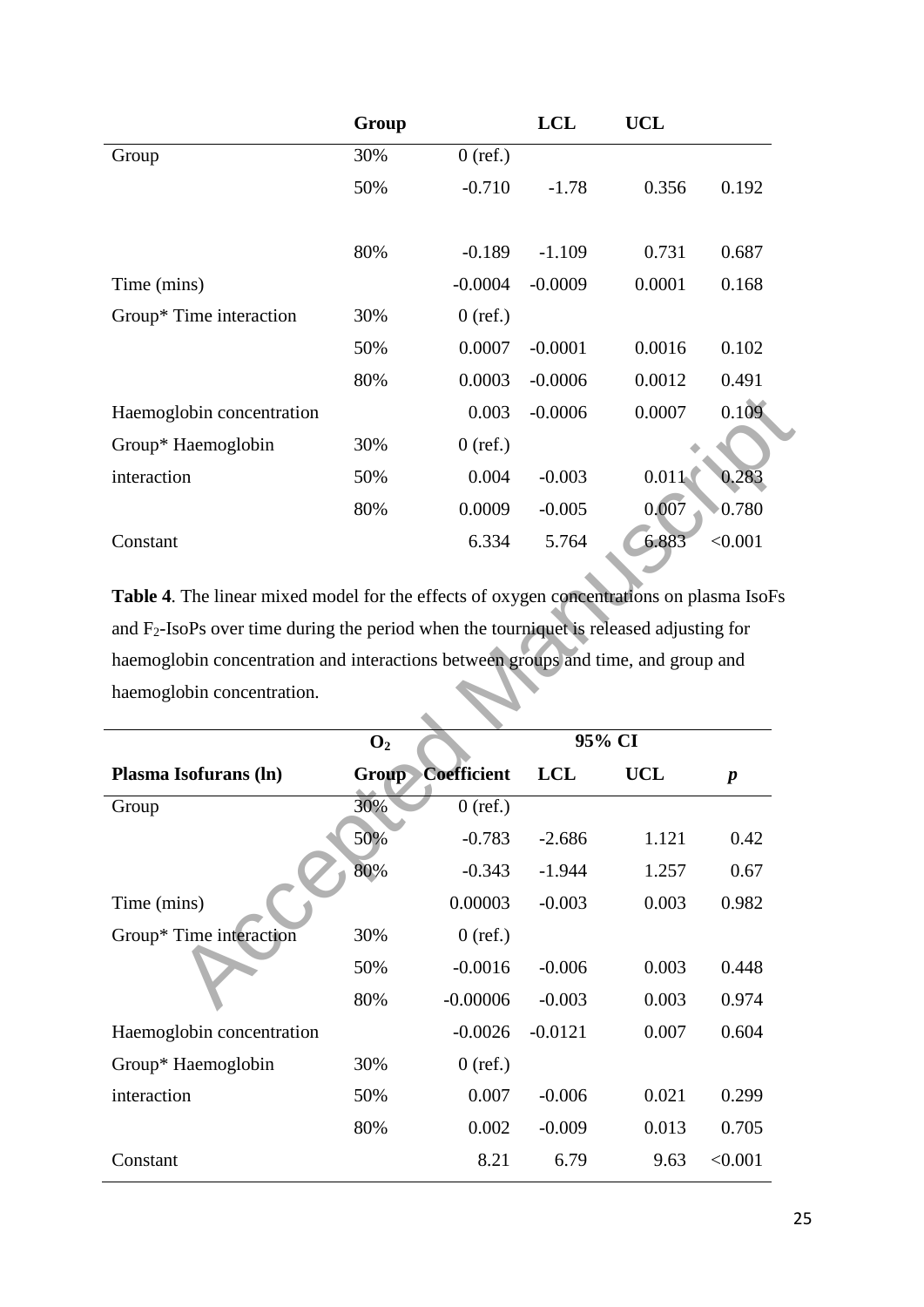|                           | Group |            | <b>LCL</b> | <b>UCL</b> |         |
|---------------------------|-------|------------|------------|------------|---------|
| Group                     | 30%   | $0$ (ref.) |            |            |         |
|                           | 50%   | $-0.710$   | $-1.78$    | 0.356      | 0.192   |
|                           |       |            |            |            |         |
|                           | 80%   | $-0.189$   | $-1.109$   | 0.731      | 0.687   |
| Time (mins)               |       | $-0.0004$  | $-0.0009$  | 0.0001     | 0.168   |
| Group* Time interaction   | 30%   | $0$ (ref.) |            |            |         |
|                           | 50%   | 0.0007     | $-0.0001$  | 0.0016     | 0.102   |
|                           | 80%   | 0.0003     | $-0.0006$  | 0.0012     | 0.491   |
| Haemoglobin concentration |       | 0.003      | $-0.0006$  | 0.0007     | 0.109   |
| Group* Haemoglobin        | 30%   | $0$ (ref.) |            |            |         |
| interaction               | 50%   | 0.004      | $-0.003$   | 0.011      | 0.283   |
|                           | 80%   | 0.0009     | $-0.005$   | 0.007      | 0.780   |
| Constant                  |       | 6.334      | 5.764      | 6.883      | < 0.001 |

**Table 4**. The linear mixed model for the effects of oxygen concentrations on plasma IsoFs and F2-IsoPs over time during the period when the tourniquet is released adjusting for haemoglobin concentration and interactions between groups and time, and group and haemoglobin concentration.

| Haemoglobin concentration                                                                                                                                                              |                | 0.003              | $-0.0006$  | 0.0007     | 0.109            |
|----------------------------------------------------------------------------------------------------------------------------------------------------------------------------------------|----------------|--------------------|------------|------------|------------------|
| Group* Haemoglobin                                                                                                                                                                     | 30%            | $0$ (ref.)         |            |            |                  |
| interaction                                                                                                                                                                            | 50%            | 0.004              | $-0.003$   | 0.011      | 0.283            |
|                                                                                                                                                                                        | 80%            | 0.0009             | $-0.005$   | 0.007      | 0.780            |
| Constant                                                                                                                                                                               |                | 6.334              | 5.764      | 6.883      | < 0.001          |
| Table 4. The linear mixed model for the effects of oxygen concentrations on plasma IsoFs<br>and $F_2$ -IsoPs over time during the period when the tourniquet is released adjusting for |                |                    |            |            |                  |
| haemoglobin concentration and interactions between groups and time, and group and                                                                                                      |                |                    |            |            |                  |
| haemoglobin concentration.                                                                                                                                                             |                |                    |            |            |                  |
|                                                                                                                                                                                        | O <sub>2</sub> |                    |            | 95% CI     |                  |
| Plasma Isofurans (ln)                                                                                                                                                                  | Group          | <b>Coefficient</b> | <b>LCL</b> | <b>UCL</b> | $\boldsymbol{p}$ |
|                                                                                                                                                                                        |                |                    |            |            |                  |
| Group                                                                                                                                                                                  | 30%            | $0$ (ref.)         |            |            |                  |
|                                                                                                                                                                                        | 50%            | $-0.783$           | $-2.686$   | 1.121      | 0.42             |
|                                                                                                                                                                                        | 80%            | $-0.343$           | $-1.944$   | 1.257      | 0.67             |
| Time (mins)                                                                                                                                                                            |                | 0.00003            | $-0.003$   | 0.003      | 0.982            |
| Group* Time interaction                                                                                                                                                                | 30%            | $0$ (ref.)         |            |            |                  |
|                                                                                                                                                                                        | 50%            | $-0.0016$          | $-0.006$   | 0.003      | 0.448            |
|                                                                                                                                                                                        | 80%            | $-0.00006$         | $-0.003$   | 0.003      | 0.974            |
| Haemoglobin concentration                                                                                                                                                              |                | $-0.0026$          | $-0.0121$  | 0.007      | 0.604            |
| Group* Haemoglobin                                                                                                                                                                     | 30%            | $0$ (ref.)         |            |            |                  |
| interaction                                                                                                                                                                            | 50%            | 0.007              | $-0.006$   | 0.021      | 0.299            |
|                                                                                                                                                                                        | 80%            | 0.002              | $-0.009$   | 0.013      | 0.705            |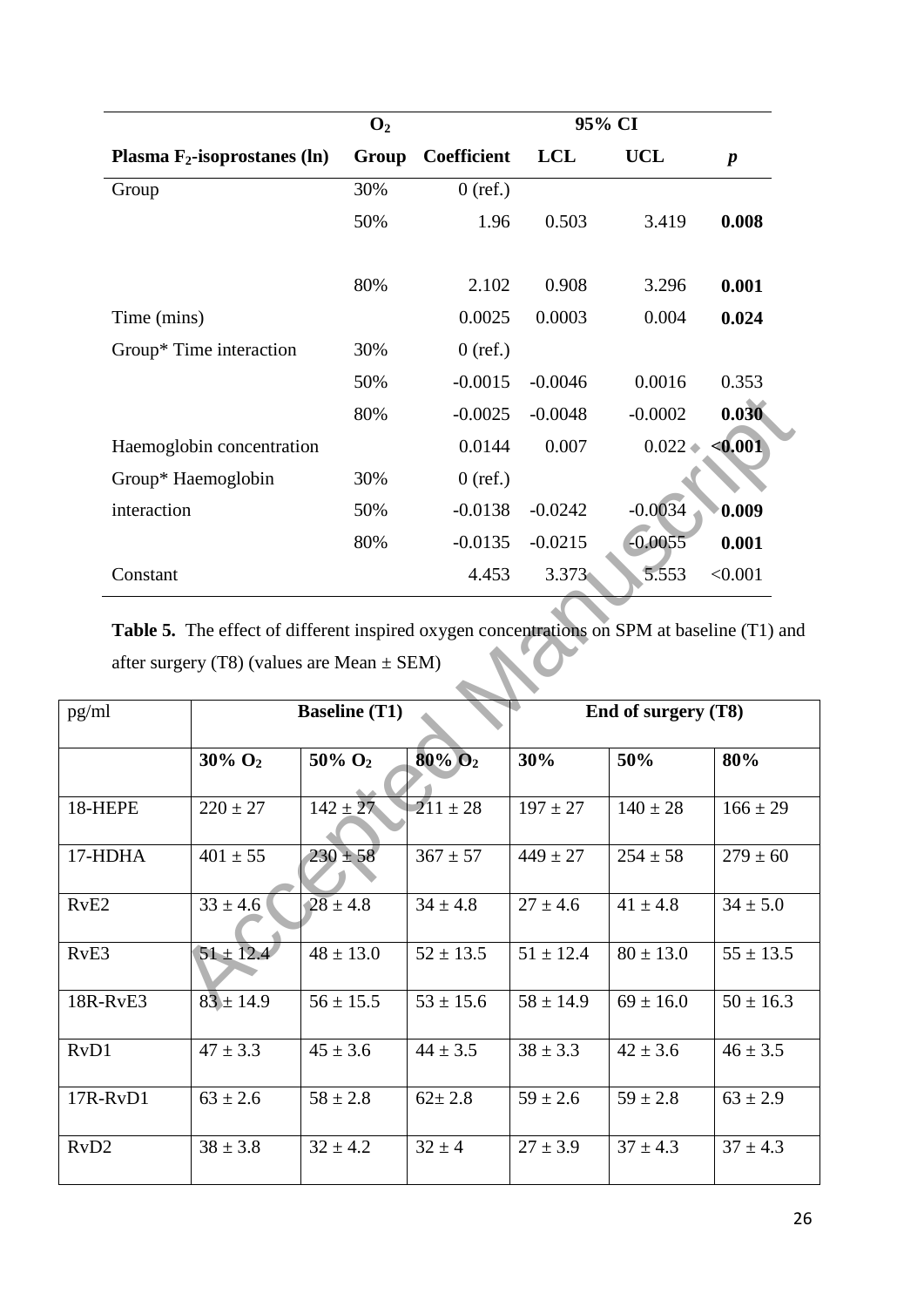|                                 | $\mathbf{O}_2$ |             |            | 95% CI     |                    |
|---------------------------------|----------------|-------------|------------|------------|--------------------|
| Plasma $F_2$ -isoprostanes (ln) | Group          | Coefficient | <b>LCL</b> | <b>UCL</b> | $\boldsymbol{p}$   |
| Group                           | 30%            | $0$ (ref.)  |            |            |                    |
|                                 | 50%            | 1.96        | 0.503      | 3.419      | 0.008              |
|                                 |                |             |            |            |                    |
|                                 | 80%            | 2.102       | 0.908      | 3.296      | 0.001              |
| Time (mins)                     |                | 0.0025      | 0.0003     | 0.004      | 0.024              |
| Group* Time interaction         | 30%            | $0$ (ref.)  |            |            |                    |
|                                 | 50%            | $-0.0015$   | $-0.0046$  | 0.0016     | 0.353              |
|                                 | 80%            | $-0.0025$   | $-0.0048$  | $-0.0002$  | 0.030              |
| Haemoglobin concentration       |                | 0.0144      | 0.007      |            | $0.022 \div 0.001$ |
| Group* Haemoglobin              | 30%            | $0$ (ref.)  |            |            |                    |
| interaction                     | 50%            | $-0.0138$   | $-0.0242$  | $-0.0034$  | 0.009              |
|                                 | 80%            | $-0.0135$   | $-0.0215$  | $-0.0055$  | 0.001              |
| Constant                        |                | 4.453       | 3.373      | 5.553      | < 0.001            |

|                                                                                                                                               |                           | 80%                  | $-0.0025$             | $-0.0048$     | $-0.0002$           | 0.030              |
|-----------------------------------------------------------------------------------------------------------------------------------------------|---------------------------|----------------------|-----------------------|---------------|---------------------|--------------------|
|                                                                                                                                               | Haemoglobin concentration |                      | 0.0144                | 0.007         |                     | $0.022 \div 0.001$ |
|                                                                                                                                               | Group* Haemoglobin        | 30%                  | $0$ (ref.)            |               |                     |                    |
| interaction                                                                                                                                   |                           | 50%                  | $-0.0138$             | $-0.0242$     | $-0.0034$           | 0.009              |
|                                                                                                                                               |                           | 80%                  | $-0.0135$             | $-0.0215$     | $-0.0055$           | 0.001              |
| Constant                                                                                                                                      |                           |                      | 4.453                 | 3.373         | 5.553               | < 0.001            |
| Table 5. The effect of different inspired oxygen concentrations on SPM at baseline (T1) and<br>after surgery (T8) (values are Mean $\pm$ SEM) |                           |                      |                       |               |                     |                    |
| pg/ml                                                                                                                                         |                           | <b>Baseline (T1)</b> |                       |               | End of surgery (T8) |                    |
|                                                                                                                                               | $30\%$ O <sub>2</sub>     | 50% O <sub>2</sub>   | $80\%$ O <sub>2</sub> | 30%           | 50%                 | 80%                |
| 18-HEPE                                                                                                                                       | $220 \pm 27$              | $142 \pm 27$         | $211 \pm 28$          | $197 \pm 27$  | $140 \pm 28$        | $166 \pm 29$       |
| 17-HDHA                                                                                                                                       | $401 \pm 55$              | $230 \pm 58$         | $367 \pm 57$          | $449 \pm 27$  | $254 \pm 58$        | $279 \pm 60$       |
| RvE <sub>2</sub>                                                                                                                              | $33 \pm 4.6$              | $28 \pm 4.8$         | $34 \pm 4.8$          | $27 \pm 4.6$  | $41 \pm 4.8$        | $34 \pm 5.0$       |
| RvE3                                                                                                                                          | $51 \pm 12.4$             | $48 \pm 13.0$        | $52 \pm 13.5$         | $51 \pm 12.4$ | $80 \pm 13.0$       | $55 \pm 13.5$      |
| 18R-RvE3                                                                                                                                      | $83 \pm 14.9$             | $56 \pm 15.5$        | $53 \pm 15.6$         | $58 \pm 14.9$ | $69 \pm 16.0$       | $50 \pm 16.3$      |
| RvD1                                                                                                                                          | $47 \pm 3.3$              | $45 \pm 3.6$         | $44 \pm 3.5$          | $38 \pm 3.3$  | $42 \pm 3.6$        | $46 \pm 3.5$       |
| 17R-RvD1                                                                                                                                      | $63 \pm 2.6$              | $58 \pm 2.8$         | $62 \pm 2.8$          | $59 \pm 2.6$  | $59 \pm 2.8$        | $63 \pm 2.9$       |
| RvD <sub>2</sub>                                                                                                                              | $38 \pm 3.8$              | $32 \pm 4.2$         | $32 \pm 4$            | $27 \pm 3.9$  | $37 \pm 4.3$        | $37 \pm 4.3$       |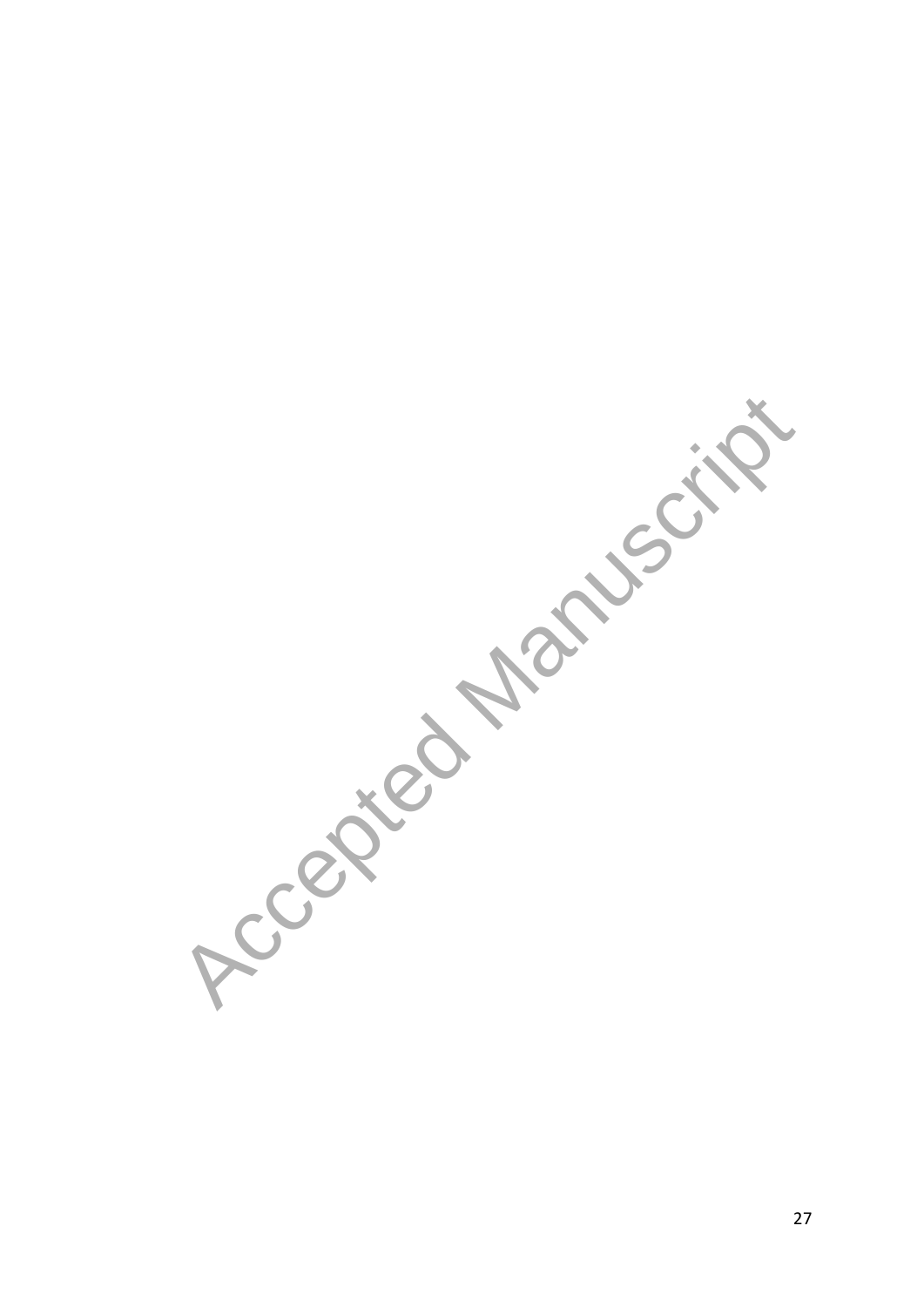Accepted Manuscript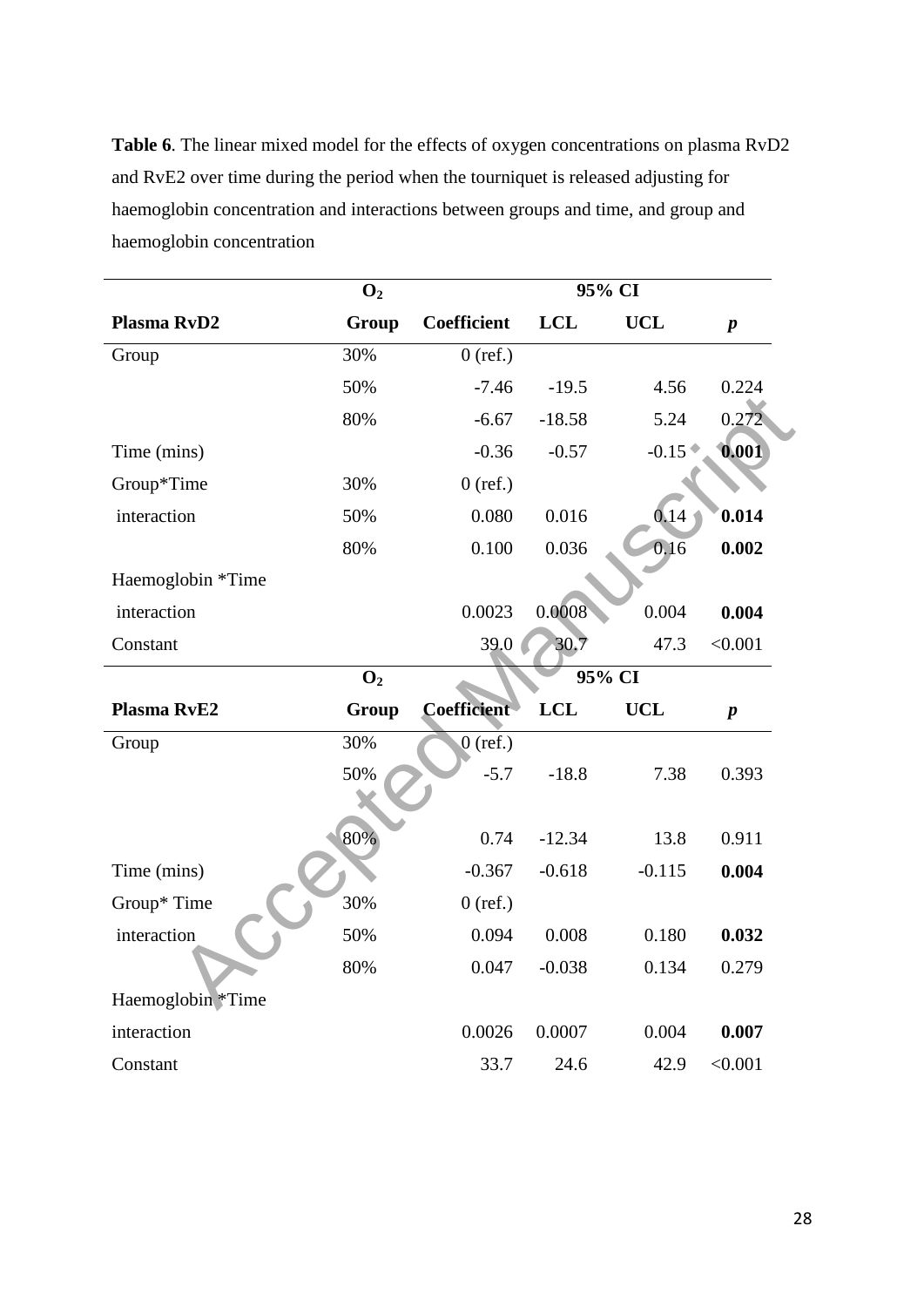**Table 6**. The linear mixed model for the effects of oxygen concentrations on plasma RvD2 and RvE2 over time during the period when the tourniquet is released adjusting for haemoglobin concentration and interactions between groups and time, and group and haemoglobin concentration

|                    | O <sub>2</sub> |                    |            | 95% CI              |                  |
|--------------------|----------------|--------------------|------------|---------------------|------------------|
| Plasma RvD2        | Group          | <b>Coefficient</b> | <b>LCL</b> | <b>UCL</b>          | $\boldsymbol{p}$ |
| Group              | 30%            | $0$ (ref.)         |            |                     |                  |
|                    | 50%            | $-7.46$            | $-19.5$    | 4.56                | 0.224            |
|                    | 80%            | $-6.67$            | $-18.58$   | 5.24                | 0.272            |
| Time (mins)        |                | $-0.36$            | $-0.57$    | $-0.15$ $\triangle$ | 0.001            |
| Group*Time         | 30%            | $0$ (ref.)         |            |                     |                  |
| interaction        | 50%            | 0.080              | 0.016      | 0.14                | 0.014            |
|                    | 80%            | 0.100              | 0.036      | 0.16                | 0.002            |
| Haemoglobin *Time  |                |                    |            |                     |                  |
| interaction        |                | 0.0023             | 0.0008     | 0.004               | 0.004            |
| Constant           |                | 39.0               | 30.7       | 47.3                | < 0.001          |
|                    | O <sub>2</sub> |                    |            | 95% CI              |                  |
| <b>Plasma RvE2</b> | Group          | Coefficient        | <b>LCL</b> | <b>UCL</b>          | $\boldsymbol{p}$ |
| Group              | 30%            | $0$ (ref.)         |            |                     |                  |
|                    | 50%            | $-5.7$             | $-18.8$    | 7.38                | 0.393            |
|                    | 80%            | 0.74               | $-12.34$   | 13.8                | 0.911            |
| Time (mins)        |                | $-0.367$           | $-0.618$   | $-0.115$            | 0.004            |
| Group* Time        | 30%            | $0$ (ref.)         |            |                     |                  |
| interaction        | 50%            | 0.094              | 0.008      | 0.180               | 0.032            |
|                    | 80%            | 0.047              | $-0.038$   | 0.134               | 0.279            |
| Haemoglobin *Time  |                |                    |            |                     |                  |
| interaction        |                | 0.0026             | 0.0007     | 0.004               | 0.007            |
| Constant           |                | 33.7               | 24.6       | 42.9                | < 0.001          |